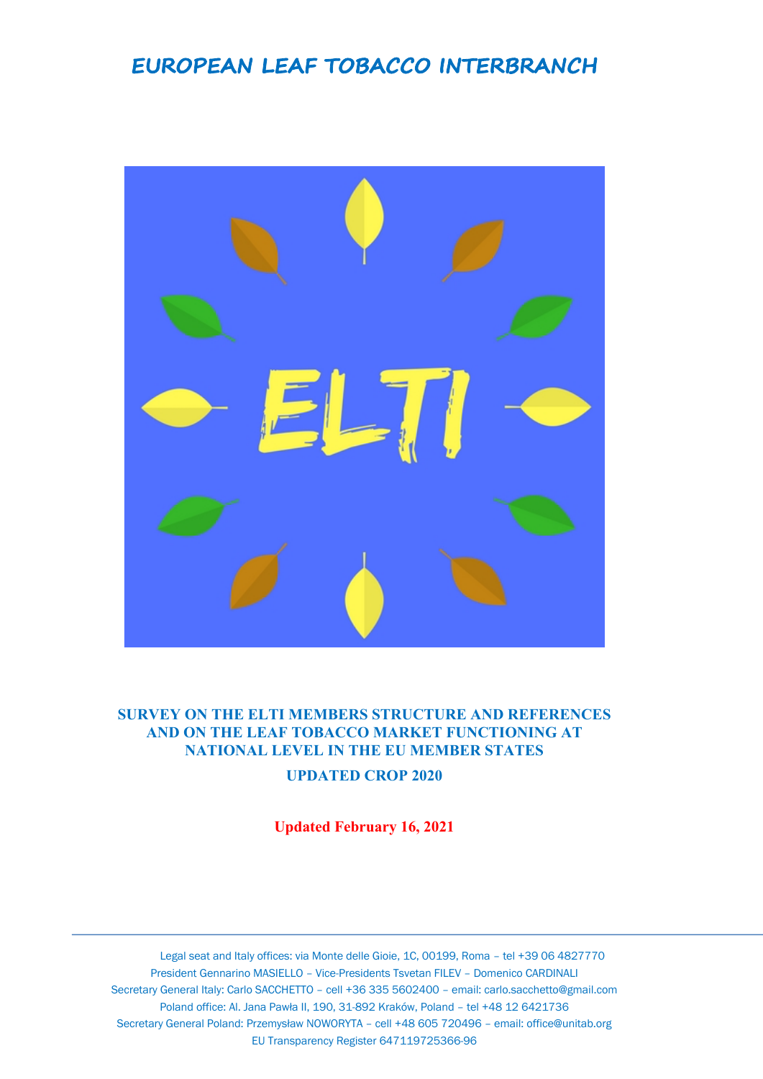## **EUROPEAN LEAF TOBACCO INTERBRANCH**



## **SURVEY ON THE ELTI MEMBERS STRUCTURE AND REFERENCES AND ON THE LEAF TOBACCO MARKET FUNCTIONING AT NATIONAL LEVEL IN THE EU MEMBER STATES**

**UPDATED CROP 2020**

**Updated February 16, 2021**

Legal seat and Italy offices: via Monte delle Gioie, 1C, 00199, Roma – tel +39 06 4827770 President Gennarino MASIELLO – Vice-Presidents Tsvetan FILEV – Domenico CARDINALI Secretary General Italy: Carlo SACCHETTO – cell +36 335 5602400 – email: carlo.sacchetto@gmail.com Poland office: Al. Jana Pawła II, 190, 31-892 Kraków, Poland – tel +48 12 6421736 Secretary General Poland: Przemysław NOWORYTA – cell +48 605 720496 – email: office@unitab.org EU Transparency Register 647119725366-96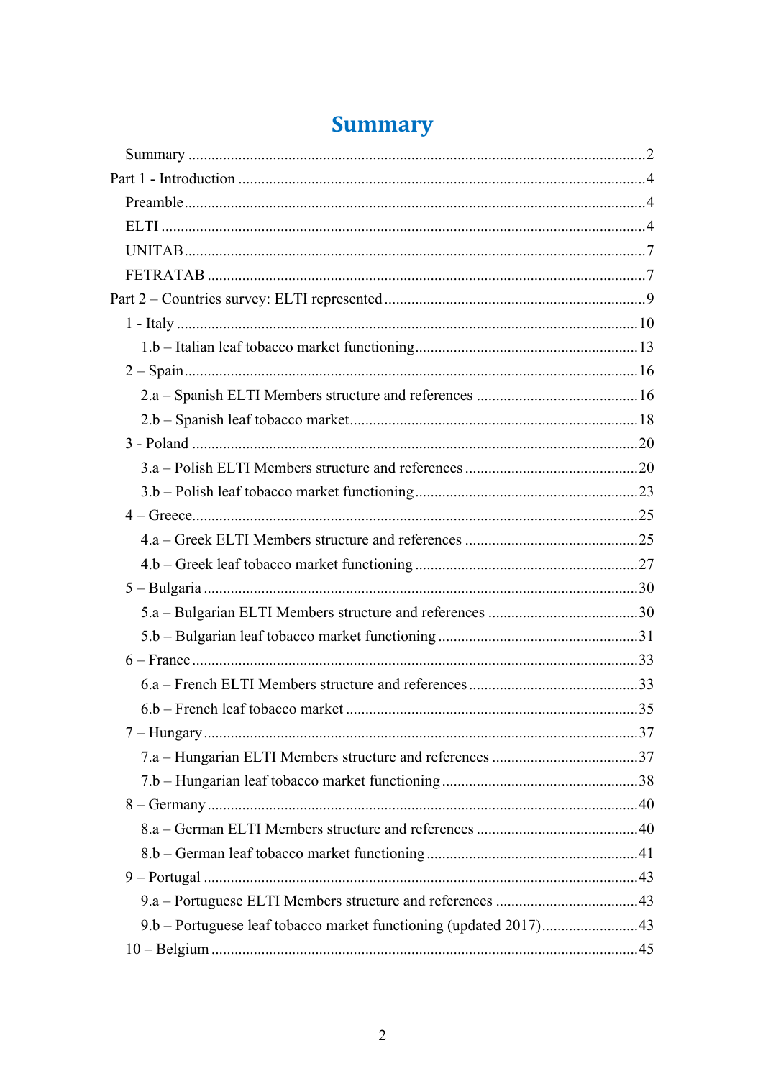| 9.b – Portuguese leaf tobacco market functioning (updated 2017)43 |  |
|-------------------------------------------------------------------|--|
|                                                                   |  |
|                                                                   |  |

# **Summary**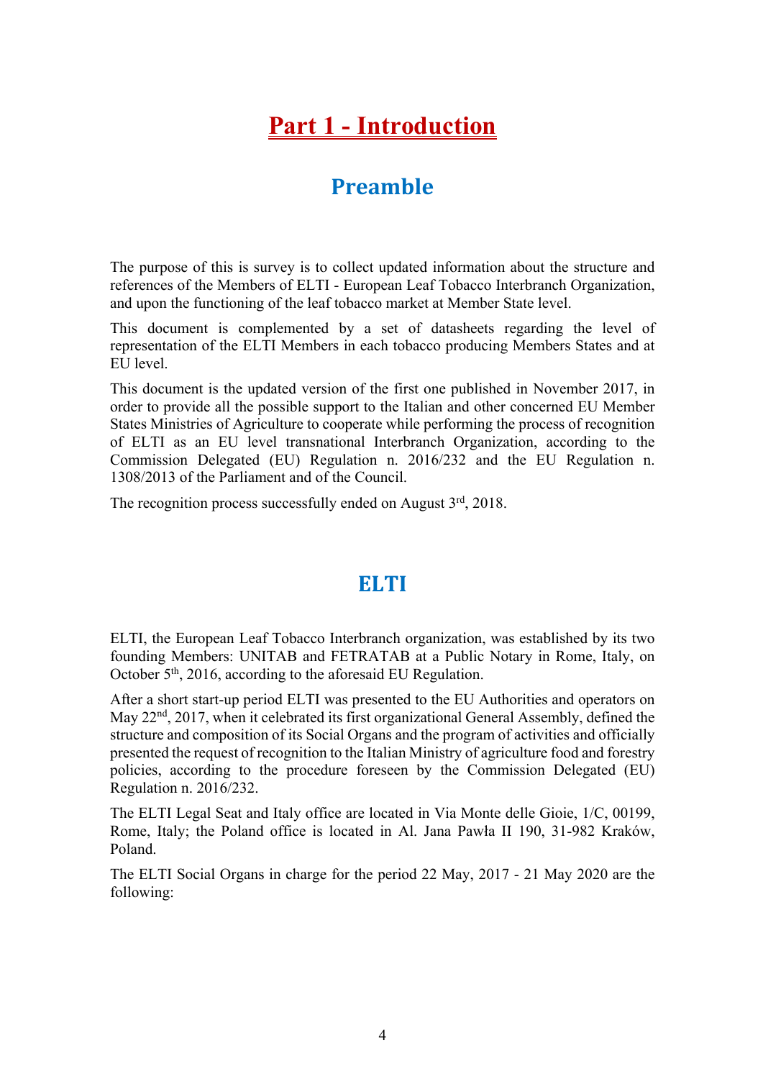# **Part 1 - Introduction**

## **Preamble**

The purpose of this is survey is to collect updated information about the structure and references of the Members of ELTI - European Leaf Tobacco Interbranch Organization, and upon the functioning of the leaf tobacco market at Member State level.

This document is complemented by a set of datasheets regarding the level of representation of the ELTI Members in each tobacco producing Members States and at EU level.

This document is the updated version of the first one published in November 2017, in order to provide all the possible support to the Italian and other concerned EU Member States Ministries of Agriculture to cooperate while performing the process of recognition of ELTI as an EU level transnational Interbranch Organization, according to the Commission Delegated (EU) Regulation n. 2016/232 and the EU Regulation n. 1308/2013 of the Parliament and of the Council.

The recognition process successfully ended on August  $3<sup>rd</sup>$ , 2018.

## **ELTI**

ELTI, the European Leaf Tobacco Interbranch organization, was established by its two founding Members: UNITAB and FETRATAB at a Public Notary in Rome, Italy, on October 5<sup>th</sup>, 2016, according to the aforesaid EU Regulation.

After a short start-up period ELTI was presented to the EU Authorities and operators on May 22<sup>nd</sup>, 2017, when it celebrated its first organizational General Assembly, defined the structure and composition of its Social Organs and the program of activities and officially presented the request of recognition to the Italian Ministry of agriculture food and forestry policies, according to the procedure foreseen by the Commission Delegated (EU) Regulation n. 2016/232.

The ELTI Legal Seat and Italy office are located in Via Monte delle Gioie, 1/C, 00199, Rome, Italy; the Poland office is located in Al. Jana Pawła II 190, 31-982 Kraków, Poland.

The ELTI Social Organs in charge for the period 22 May, 2017 - 21 May 2020 are the following: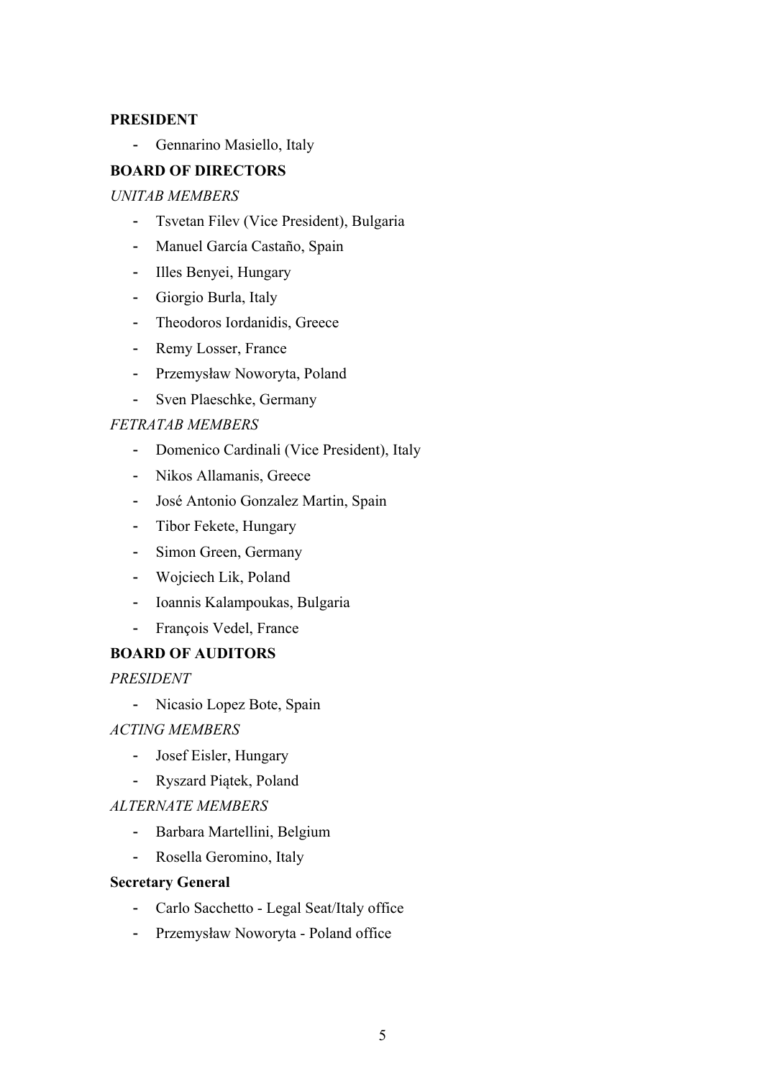## **PRESIDENT**

- Gennarino Masiello, Italy

## **BOARD OF DIRECTORS**

### *UNITAB MEMBERS*

- Tsvetan Filev (Vice President), Bulgaria
- Manuel García Castaño, Spain
- Illes Benyei, Hungary
- Giorgio Burla, Italy
- Theodoros Iordanidis, Greece
- Remy Losser, France
- Przemysław Noworyta, Poland
- Sven Plaeschke, Germany

## *FETRATAB MEMBERS*

- Domenico Cardinali (Vice President), Italy
- Nikos Allamanis, Greece
- José Antonio Gonzalez Martin, Spain
- Tibor Fekete, Hungary
- Simon Green, Germany
- Wojciech Lik, Poland
- Ioannis Kalampoukas, Bulgaria
- François Vedel, France

## **BOARD OF AUDITORS**

*PRESIDENT*

- Nicasio Lopez Bote, Spain

*ACTING MEMBERS*

- Josef Eisler, Hungary
- Ryszard Piątek, Poland

## *ALTERNATE MEMBERS*

- Barbara Martellini, Belgium
- Rosella Geromino, Italy

## **Secretary General**

- Carlo Sacchetto Legal Seat/Italy office
- Przemysław Noworyta Poland office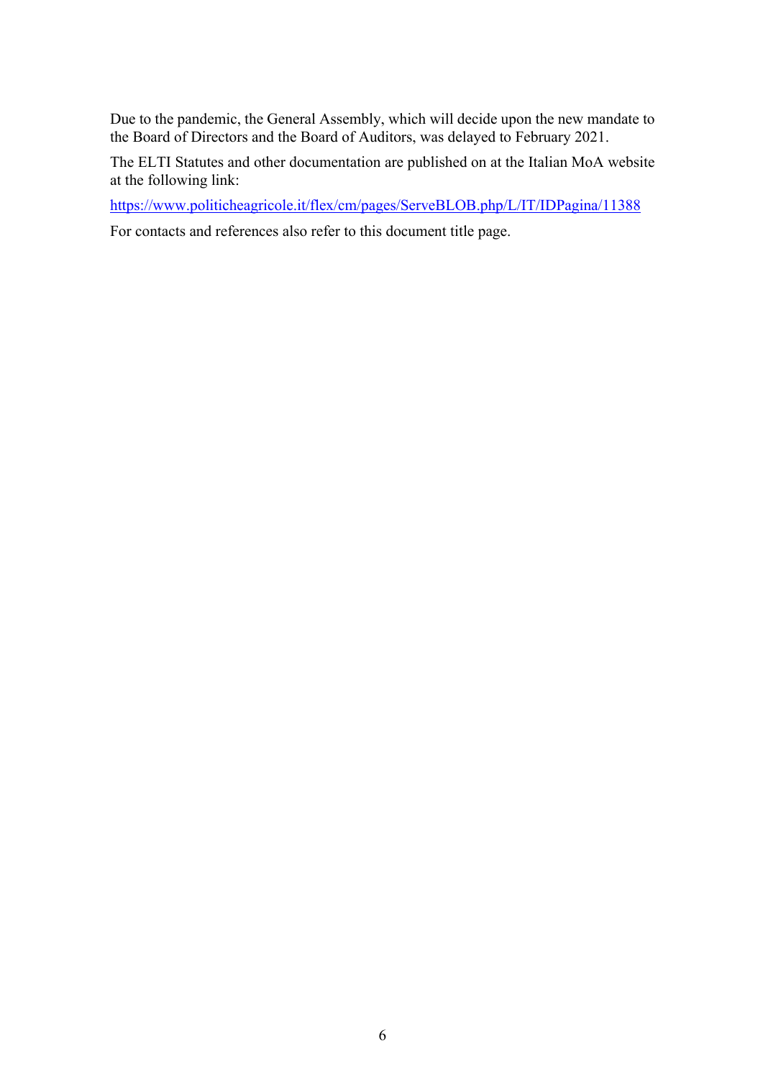Due to the pandemic, the General Assembly, which will decide upon the new mandate to the Board of Directors and the Board of Auditors, was delayed to February 2021.

The ELTI Statutes and other documentation are published on at the Italian MoA website at the following link:

https://www.politicheagricole.it/flex/cm/pages/ServeBLOB.php/L/IT/IDPagina/11388

For contacts and references also refer to this document title page.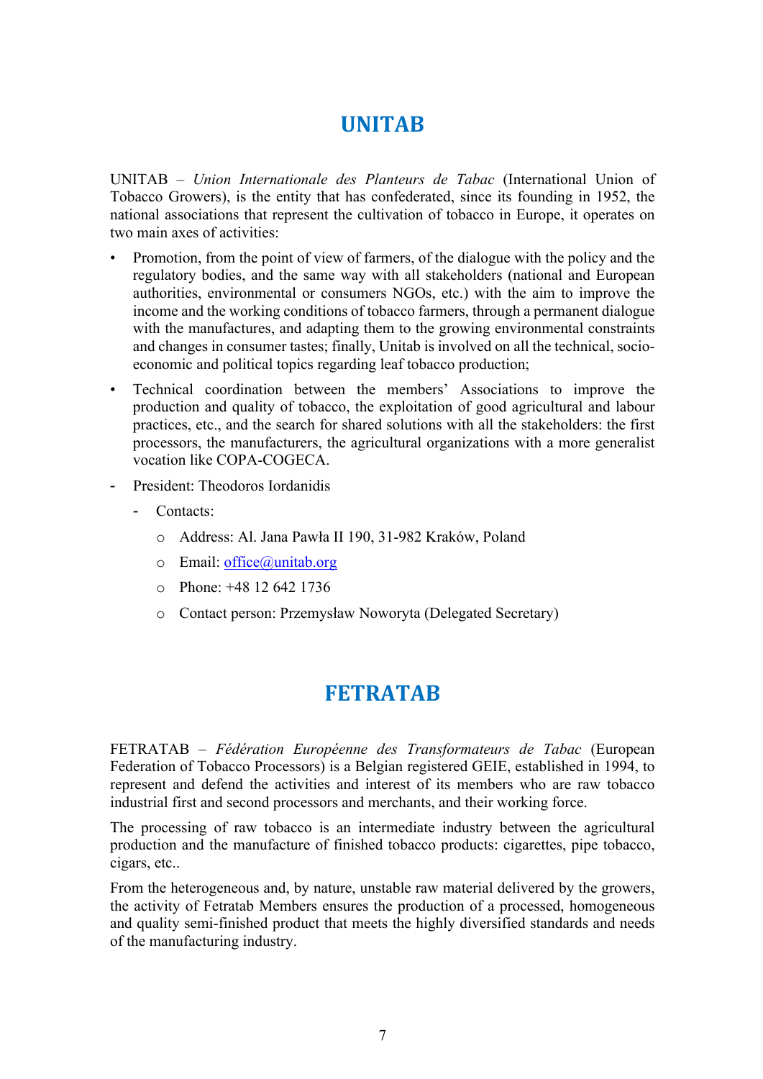## **UNITAB**

UNITAB – *Union Internationale des Planteurs de Tabac* (International Union of Tobacco Growers), is the entity that has confederated, since its founding in 1952, the national associations that represent the cultivation of tobacco in Europe, it operates on two main axes of activities:

- Promotion, from the point of view of farmers, of the dialogue with the policy and the regulatory bodies, and the same way with all stakeholders (national and European authorities, environmental or consumers NGOs, etc.) with the aim to improve the income and the working conditions of tobacco farmers, through a permanent dialogue with the manufactures, and adapting them to the growing environmental constraints and changes in consumer tastes; finally, Unitab is involved on all the technical, socioeconomic and political topics regarding leaf tobacco production;
- Technical coordination between the members' Associations to improve the production and quality of tobacco, the exploitation of good agricultural and labour practices, etc., and the search for shared solutions with all the stakeholders: the first processors, the manufacturers, the agricultural organizations with a more generalist vocation like COPA-COGECA.
- President: Theodoros Iordanidis
	- Contacts:
		- o Address: Al. Jana Pawła II 190, 31-982 Kraków, Poland
		- $\circ$  Email: office@unitab.org
		- o Phone: +48 12 642 1736
		- o Contact person: Przemysław Noworyta (Delegated Secretary)

## **FETRATAB**

FETRATAB – *Fédération Européenne des Transformateurs de Tabac* (European Federation of Tobacco Processors) is a Belgian registered GEIE, established in 1994, to represent and defend the activities and interest of its members who are raw tobacco industrial first and second processors and merchants, and their working force.

The processing of raw tobacco is an intermediate industry between the agricultural production and the manufacture of finished tobacco products: cigarettes, pipe tobacco, cigars, etc..

From the heterogeneous and, by nature, unstable raw material delivered by the growers, the activity of Fetratab Members ensures the production of a processed, homogeneous and quality semi-finished product that meets the highly diversified standards and needs of the manufacturing industry.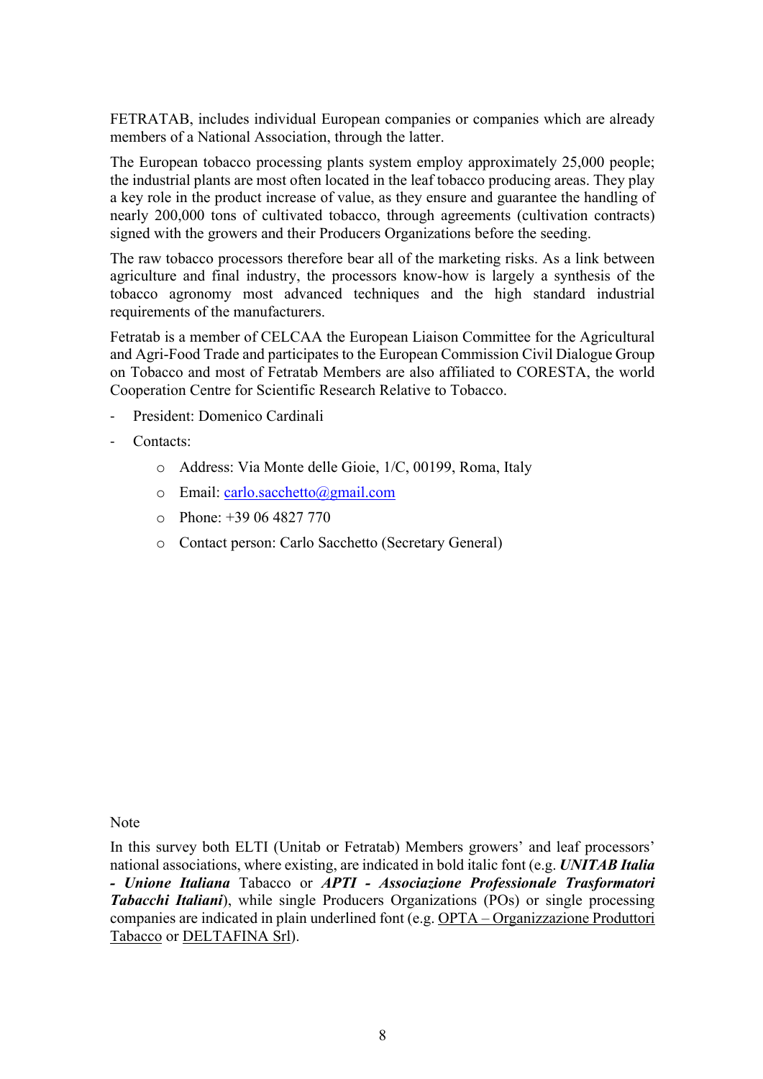FETRATAB, includes individual European companies or companies which are already members of a National Association, through the latter.

The European tobacco processing plants system employ approximately 25,000 people; the industrial plants are most often located in the leaf tobacco producing areas. They play a key role in the product increase of value, as they ensure and guarantee the handling of nearly 200,000 tons of cultivated tobacco, through agreements (cultivation contracts) signed with the growers and their Producers Organizations before the seeding.

The raw tobacco processors therefore bear all of the marketing risks. As a link between agriculture and final industry, the processors know-how is largely a synthesis of the tobacco agronomy most advanced techniques and the high standard industrial requirements of the manufacturers.

Fetratab is a member of CELCAA the European Liaison Committee for the Agricultural and Agri-Food Trade and participates to the European Commission Civil Dialogue Group on Tobacco and most of Fetratab Members are also affiliated to CORESTA, the world Cooperation Centre for Scientific Research Relative to Tobacco.

- President: Domenico Cardinali
- Contacts:
	- o Address: Via Monte delle Gioie, 1/C, 00199, Roma, Italy
	- o Email: carlo.sacchetto@gmail.com
	- $\degree$  Phone: +39 06 4827 770
	- o Contact person: Carlo Sacchetto (Secretary General)

**Note** 

In this survey both ELTI (Unitab or Fetratab) Members growers' and leaf processors' national associations, where existing, are indicated in bold italic font (e.g. *UNITAB Italia - Unione Italiana* Tabacco or *APTI - Associazione Professionale Trasformatori Tabacchi Italiani*), while single Producers Organizations (POs) or single processing companies are indicated in plain underlined font (e.g. OPTA – Organizzazione Produttori Tabacco or DELTAFINA Srl).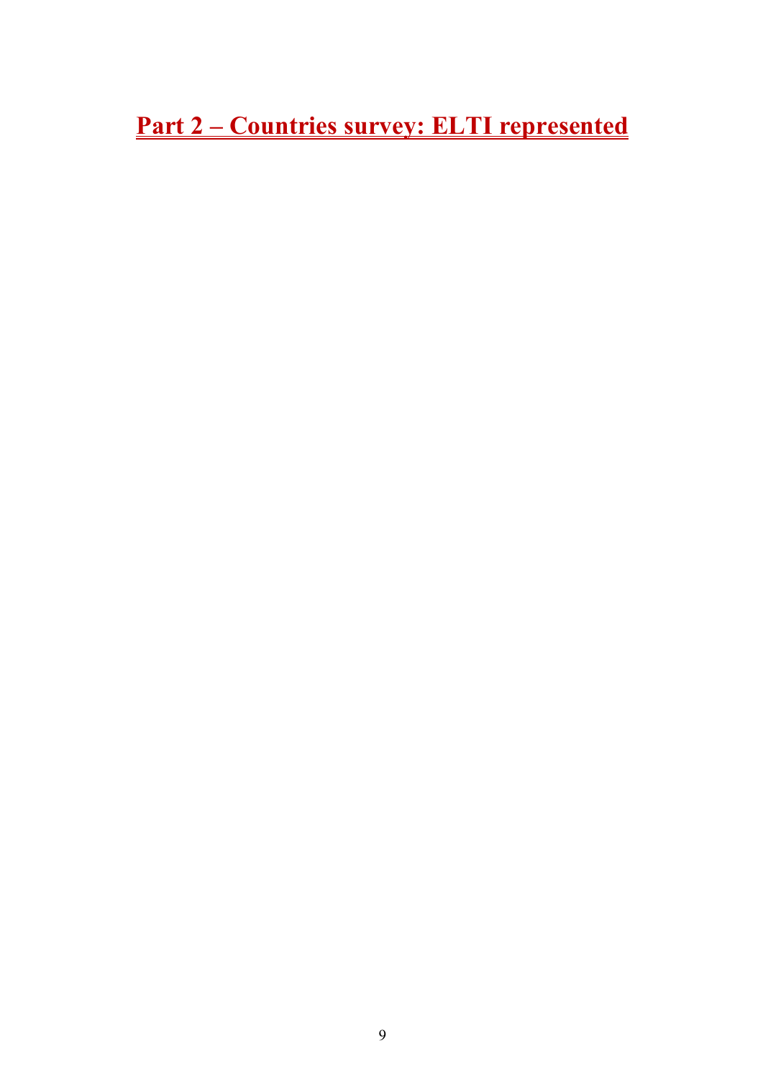**Part 2 – Countries survey: ELTI represented**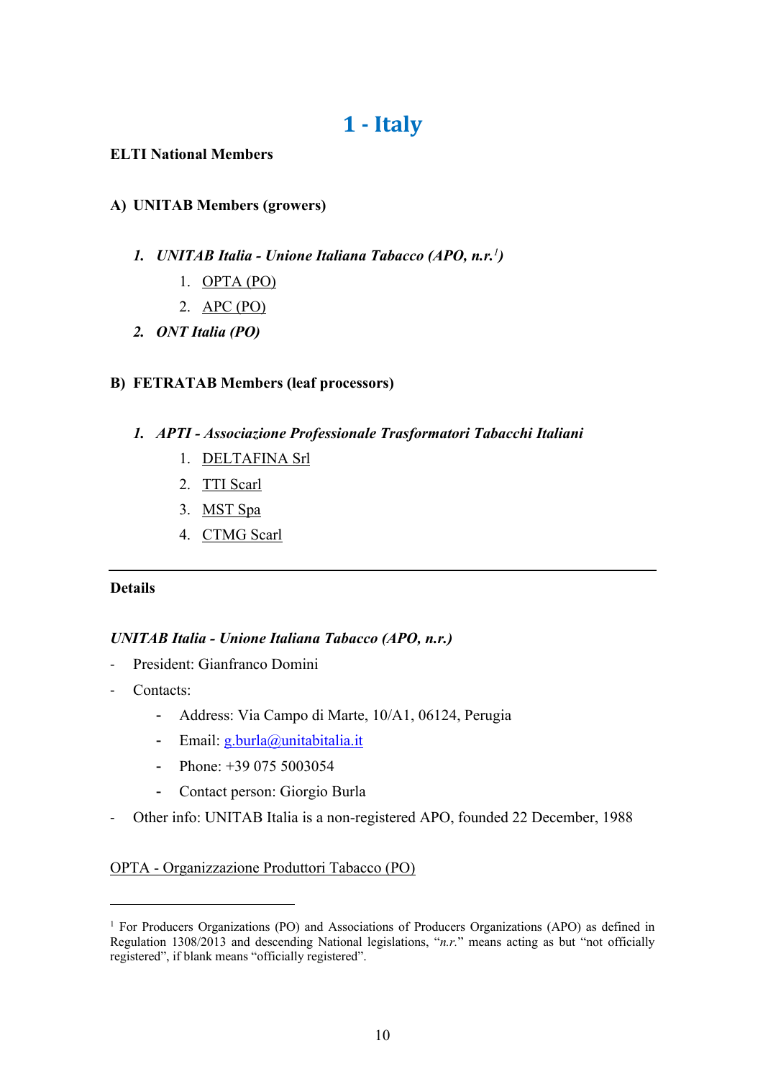## **1 - Italy**

### **ELTI National Members**

## **A) UNITAB Members (growers)**

- *1. UNITAB Italia - Unione Italiana Tabacco (APO, n.r.<sup>1</sup>)*
	- 1. OPTA (PO)
	- 2. APC (PO)
- *2. ONT Italia (PO)*

## **B) FETRATAB Members (leaf processors)**

## *1. APTI - Associazione Professionale Trasformatori Tabacchi Italiani*

- 1. DELTAFINA Srl
- 2. TTI Scarl
- 3. MST Spa
- 4. CTMG Scarl

## **Details**

## *UNITAB Italia - Unione Italiana Tabacco (APO, n.r.)*

- President: Gianfranco Domini
- Contacts:
	- Address: Via Campo di Marte, 10/A1, 06124, Perugia
	- Email: g.burla@unitabitalia.it
	- Phone: +39 075 5003054
	- Contact person: Giorgio Burla
- Other info: UNITAB Italia is a non-registered APO, founded 22 December, 1988

## OPTA - Organizzazione Produttori Tabacco (PO)

<sup>1</sup> For Producers Organizations (PO) and Associations of Producers Organizations (APO) as defined in Regulation 1308/2013 and descending National legislations, "*n.r.*" means acting as but "not officially registered", if blank means "officially registered".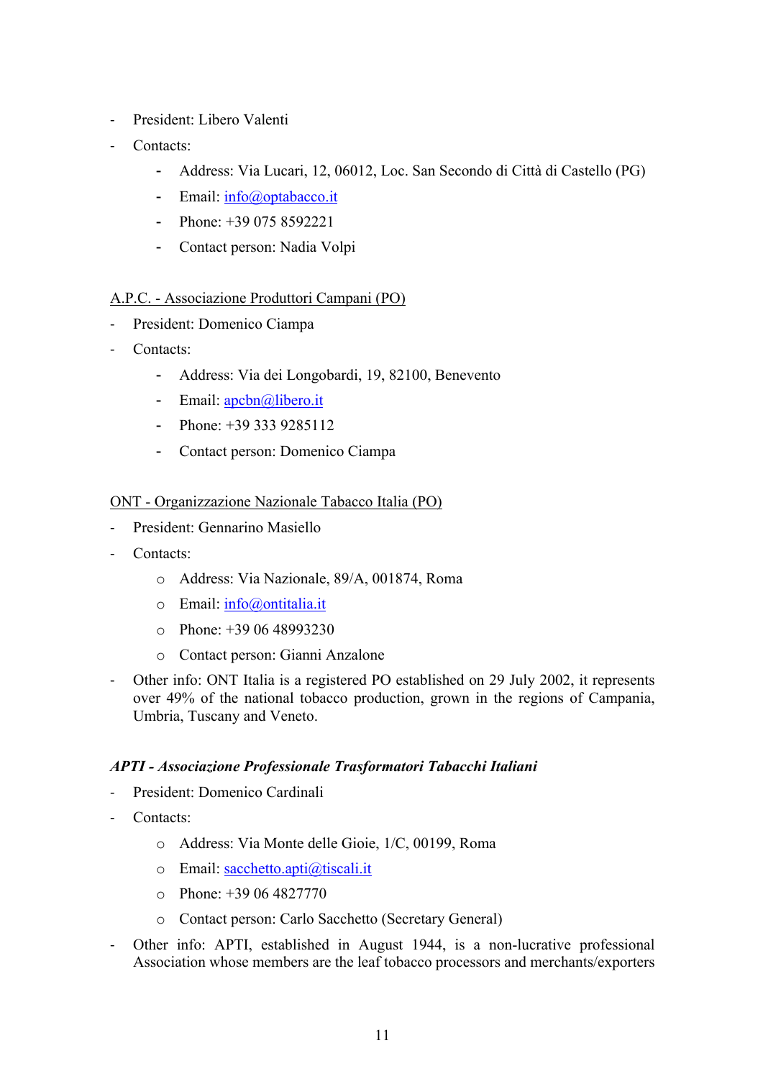- President: Libero Valenti
- Contacts:
	- Address: Via Lucari, 12, 06012, Loc. San Secondo di Città di Castello (PG)
	- Email: info@optabacco.it
	- Phone: +39 075 8592221
	- Contact person: Nadia Volpi

## A.P.C. - Associazione Produttori Campani (PO)

- President: Domenico Ciampa
- Contacts:
	- Address: Via dei Longobardi, 19, 82100, Benevento
	- Email: apcbn@libero.it
	- Phone:  $+39\,333\,9285112$
	- Contact person: Domenico Ciampa

## ONT - Organizzazione Nazionale Tabacco Italia (PO)

- President: Gennarino Masiello
- Contacts:
	- o Address: Via Nazionale, 89/A, 001874, Roma
	- o Email: info@ontitalia.it
	- $\degree$  Phone: +39 06 48993230
	- o Contact person: Gianni Anzalone
- Other info: ONT Italia is a registered PO established on 29 July 2002, it represents over 49% of the national tobacco production, grown in the regions of Campania, Umbria, Tuscany and Veneto.

## *APTI - Associazione Professionale Trasformatori Tabacchi Italiani*

- President: Domenico Cardinali
- Contacts:
	- o Address: Via Monte delle Gioie, 1/C, 00199, Roma
	- o Email: sacchetto.apti@tiscali.it
	- o Phone: +39 06 4827770
	- o Contact person: Carlo Sacchetto (Secretary General)
- Other info: APTI, established in August 1944, is a non-lucrative professional Association whose members are the leaf tobacco processors and merchants/exporters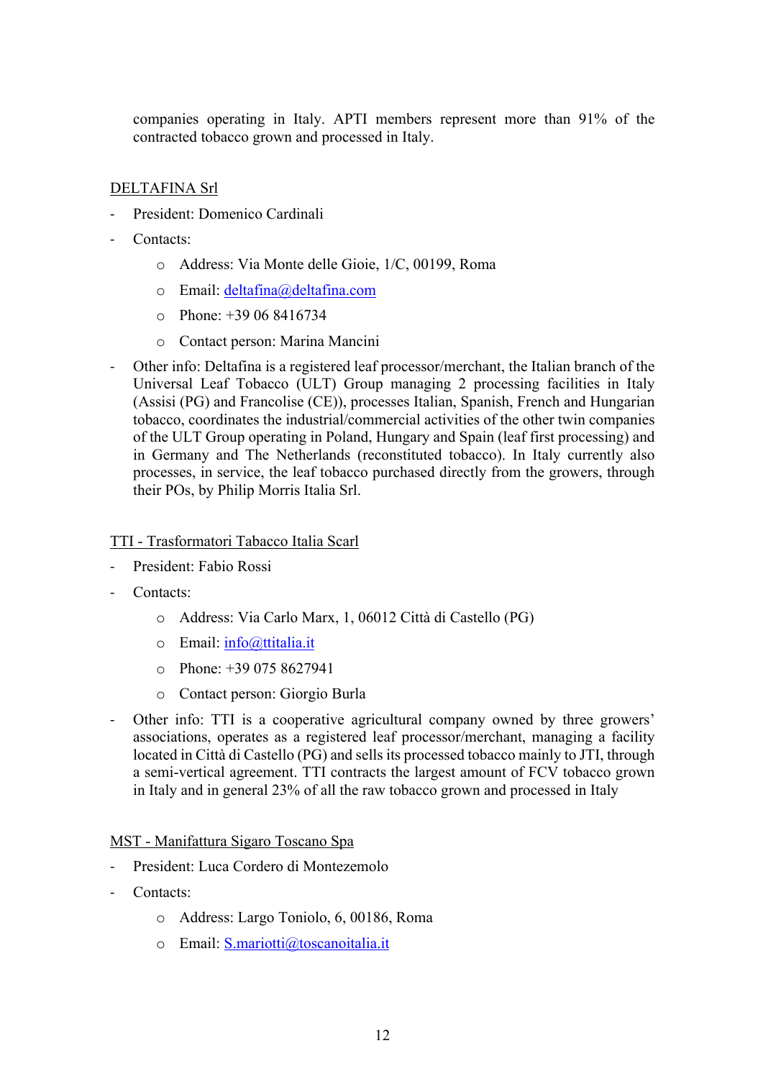companies operating in Italy. APTI members represent more than 91% of the contracted tobacco grown and processed in Italy.

## DELTAFINA Srl

- President: Domenico Cardinali
- Contacts<sup>-</sup>
	- o Address: Via Monte delle Gioie, 1/C, 00199, Roma
	- o Email: deltafina@deltafina.com
	- o Phone: +39 06 8416734
	- o Contact person: Marina Mancini
- Other info: Deltafina is a registered leaf processor/merchant, the Italian branch of the Universal Leaf Tobacco (ULT) Group managing 2 processing facilities in Italy (Assisi (PG) and Francolise (CE)), processes Italian, Spanish, French and Hungarian tobacco, coordinates the industrial/commercial activities of the other twin companies of the ULT Group operating in Poland, Hungary and Spain (leaf first processing) and in Germany and The Netherlands (reconstituted tobacco). In Italy currently also processes, in service, the leaf tobacco purchased directly from the growers, through their POs, by Philip Morris Italia Srl.

### TTI - Trasformatori Tabacco Italia Scarl

- President: Fabio Rossi
- Contacts:
	- o Address: Via Carlo Marx, 1, 06012 Città di Castello (PG)
	- o Email: info@ttitalia.it
	- $\degree$  Phone: +39 075 8627941
	- o Contact person: Giorgio Burla
- Other info: TTI is a cooperative agricultural company owned by three growers' associations, operates as a registered leaf processor/merchant, managing a facility located in Città di Castello (PG) and sells its processed tobacco mainly to JTI, through a semi-vertical agreement. TTI contracts the largest amount of FCV tobacco grown in Italy and in general 23% of all the raw tobacco grown and processed in Italy

MST - Manifattura Sigaro Toscano Spa

- President: Luca Cordero di Montezemolo
- Contacts:
	- o Address: Largo Toniolo, 6, 00186, Roma
	- o Email: S.mariotti@toscanoitalia.it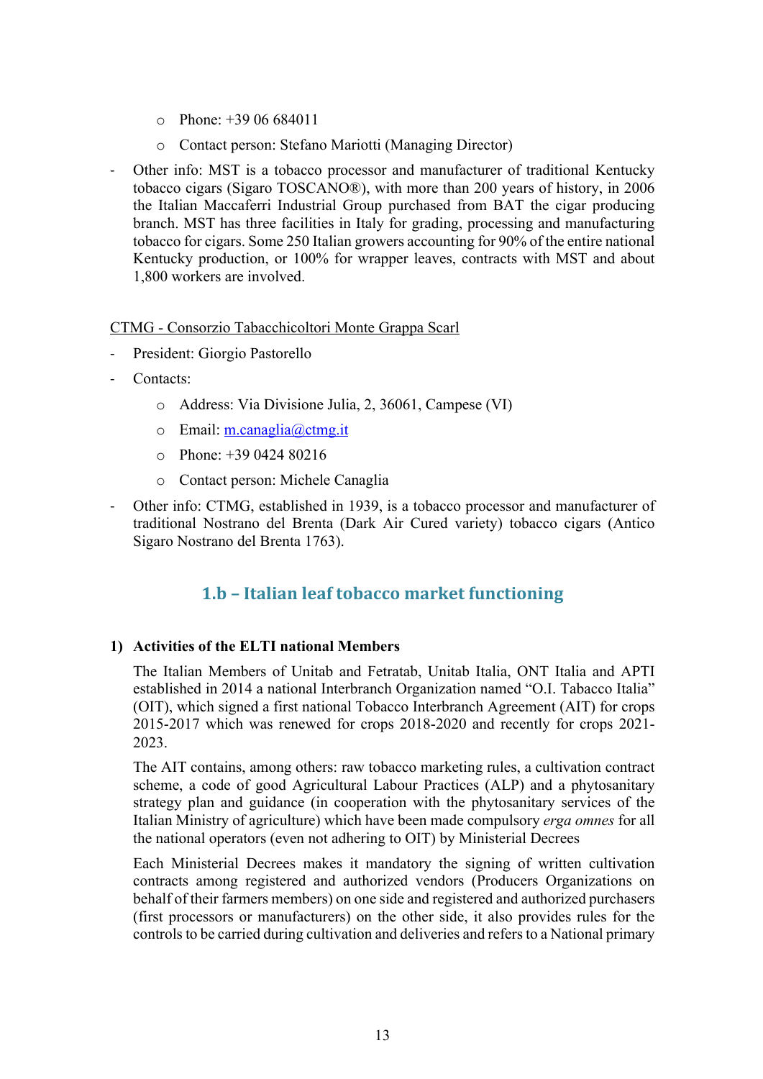- $\degree$  Phone: +39 06 684011
- o Contact person: Stefano Mariotti (Managing Director)
- Other info: MST is a tobacco processor and manufacturer of traditional Kentucky tobacco cigars (Sigaro TOSCANO®), with more than 200 years of history, in 2006 the Italian Maccaferri Industrial Group purchased from BAT the cigar producing branch. MST has three facilities in Italy for grading, processing and manufacturing tobacco for cigars. Some 250 Italian growers accounting for 90% of the entire national Kentucky production, or 100% for wrapper leaves, contracts with MST and about 1,800 workers are involved.

### CTMG - Consorzio Tabacchicoltori Monte Grappa Scarl

- President: Giorgio Pastorello
- Contacts:
	- o Address: Via Divisione Julia, 2, 36061, Campese (VI)
	- o Email: m.canaglia@ctmg.it
	- o Phone: +39 0424 80216
	- o Contact person: Michele Canaglia
- Other info: CTMG, established in 1939, is a tobacco processor and manufacturer of traditional Nostrano del Brenta (Dark Air Cured variety) tobacco cigars (Antico Sigaro Nostrano del Brenta 1763).

## **1.b – Italian leaf tobacco market functioning**

## **1) Activities of the ELTI national Members**

The Italian Members of Unitab and Fetratab, Unitab Italia, ONT Italia and APTI established in 2014 a national Interbranch Organization named "O.I. Tabacco Italia" (OIT), which signed a first national Tobacco Interbranch Agreement (AIT) for crops 2015-2017 which was renewed for crops 2018-2020 and recently for crops 2021- 2023.

The AIT contains, among others: raw tobacco marketing rules, a cultivation contract scheme, a code of good Agricultural Labour Practices (ALP) and a phytosanitary strategy plan and guidance (in cooperation with the phytosanitary services of the Italian Ministry of agriculture) which have been made compulsory *erga omnes* for all the national operators (even not adhering to OIT) by Ministerial Decrees

Each Ministerial Decrees makes it mandatory the signing of written cultivation contracts among registered and authorized vendors (Producers Organizations on behalf of their farmers members) on one side and registered and authorized purchasers (first processors or manufacturers) on the other side, it also provides rules for the controls to be carried during cultivation and deliveries and refers to a National primary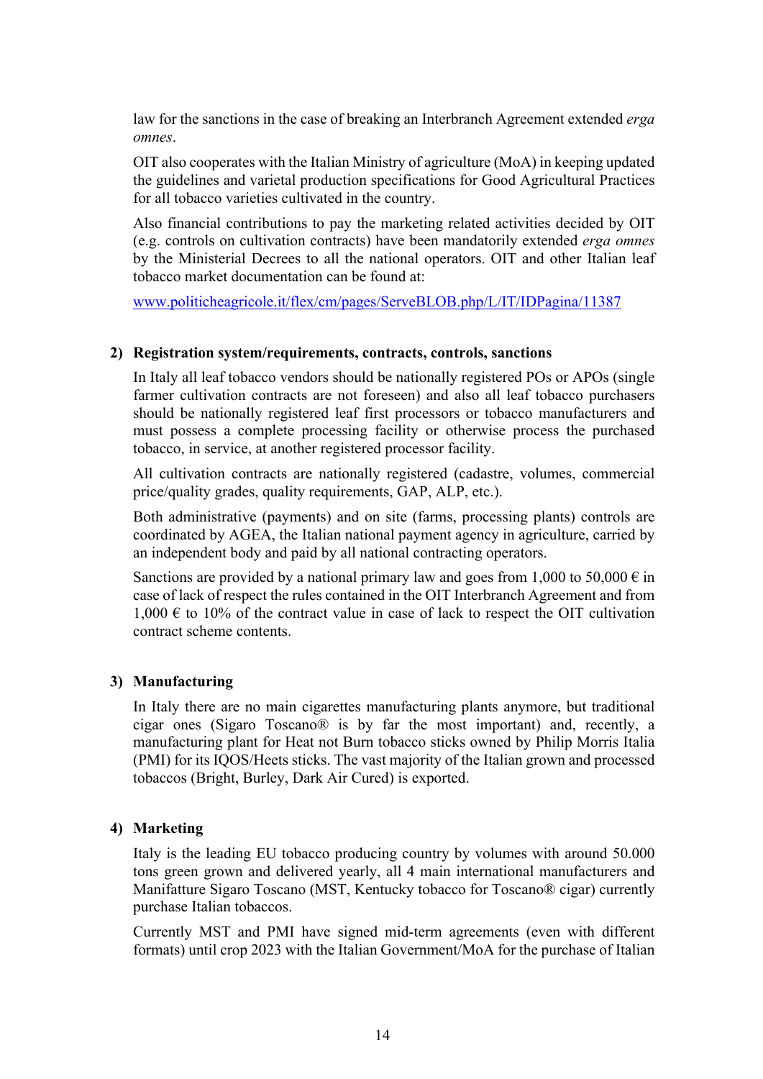law for the sanctions in the case of breaking an Interbranch Agreement extended *erga omnes*.

OIT also cooperates with the Italian Ministry of agriculture (MoA) in keeping updated the guidelines and varietal production specifications for Good Agricultural Practices for all tobacco varieties cultivated in the country.

Also financial contributions to pay the marketing related activities decided by OIT (e.g. controls on cultivation contracts) have been mandatorily extended *erga omnes* by the Ministerial Decrees to all the national operators. OIT and other Italian leaf tobacco market documentation can be found at:

www.politicheagricole.it/flex/cm/pages/ServeBLOB.php/L/IT/IDPagina/11387

## **2) Registration system/requirements, contracts, controls, sanctions**

In Italy all leaf tobacco vendors should be nationally registered POs or APOs (single farmer cultivation contracts are not foreseen) and also all leaf tobacco purchasers should be nationally registered leaf first processors or tobacco manufacturers and must possess a complete processing facility or otherwise process the purchased tobacco, in service, at another registered processor facility.

All cultivation contracts are nationally registered (cadastre, volumes, commercial price/quality grades, quality requirements, GAP, ALP, etc.).

Both administrative (payments) and on site (farms, processing plants) controls are coordinated by AGEA, the Italian national payment agency in agriculture, carried by an independent body and paid by all national contracting operators.

Sanctions are provided by a national primary law and goes from 1,000 to 50,000  $\epsilon$  in case of lack of respect the rules contained in the OIT Interbranch Agreement and from  $1,000 \text{ } \in \text{ } 10\%$  of the contract value in case of lack to respect the OIT cultivation contract scheme contents.

## **3) Manufacturing**

In Italy there are no main cigarettes manufacturing plants anymore, but traditional cigar ones (Sigaro Toscano® is by far the most important) and, recently, a manufacturing plant for Heat not Burn tobacco sticks owned by Philip Morris Italia (PMI) for its IQOS/Heets sticks. The vast majority of the Italian grown and processed tobaccos (Bright, Burley, Dark Air Cured) is exported.

## **4) Marketing**

Italy is the leading EU tobacco producing country by volumes with around 50.000 tons green grown and delivered yearly, all 4 main international manufacturers and Manifatture Sigaro Toscano (MST, Kentucky tobacco for Toscano® cigar) currently purchase Italian tobaccos.

Currently MST and PMI have signed mid-term agreements (even with different formats) until crop 2023 with the Italian Government/MoA for the purchase of Italian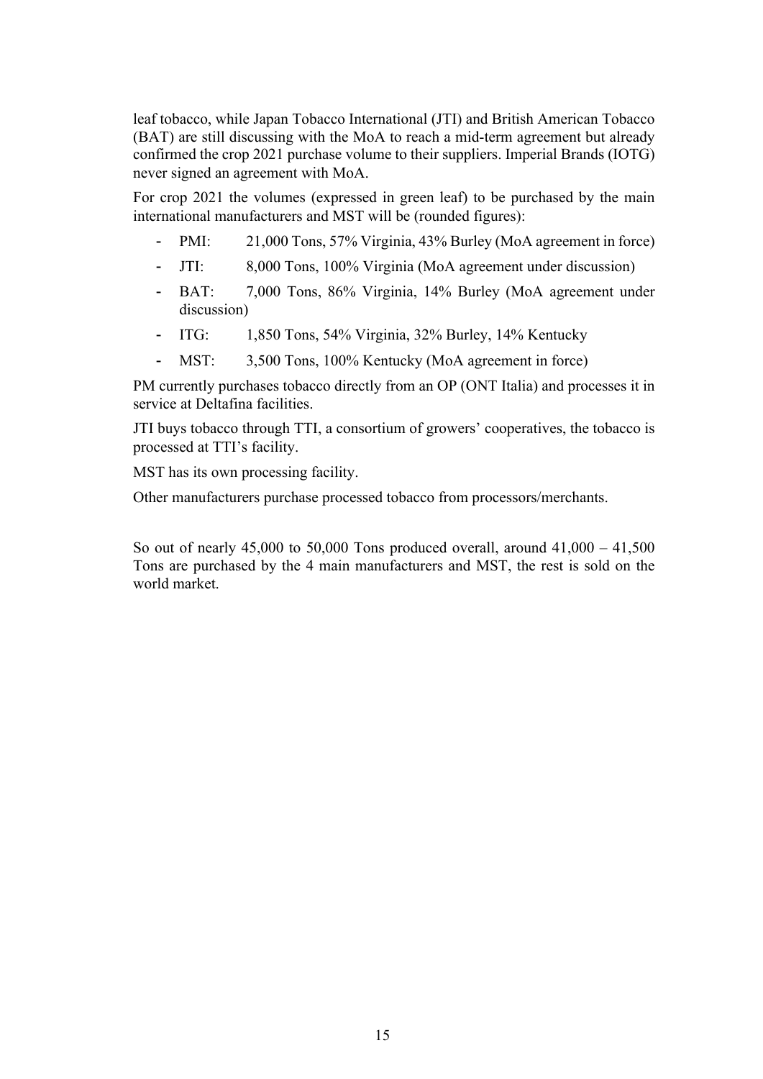leaf tobacco, while Japan Tobacco International (JTI) and British American Tobacco (BAT) are still discussing with the MoA to reach a mid-term agreement but already confirmed the crop 2021 purchase volume to their suppliers. Imperial Brands (IOTG) never signed an agreement with MoA.

For crop 2021 the volumes (expressed in green leaf) to be purchased by the main international manufacturers and MST will be (rounded figures):

- PMI: 21,000 Tons, 57% Virginia, 43% Burley (MoA agreement in force)
- JTI: 8,000 Tons, 100% Virginia (MoA agreement under discussion)
- BAT: 7,000 Tons, 86% Virginia, 14% Burley (MoA agreement under discussion)
- ITG: 1,850 Tons, 54% Virginia, 32% Burley, 14% Kentucky
- MST: 3,500 Tons, 100% Kentucky (MoA agreement in force)

PM currently purchases tobacco directly from an OP (ONT Italia) and processes it in service at Deltafina facilities.

JTI buys tobacco through TTI, a consortium of growers' cooperatives, the tobacco is processed at TTI's facility.

MST has its own processing facility.

Other manufacturers purchase processed tobacco from processors/merchants.

So out of nearly  $45,000$  to  $50,000$  Tons produced overall, around  $41,000 - 41,500$ Tons are purchased by the 4 main manufacturers and MST, the rest is sold on the world market.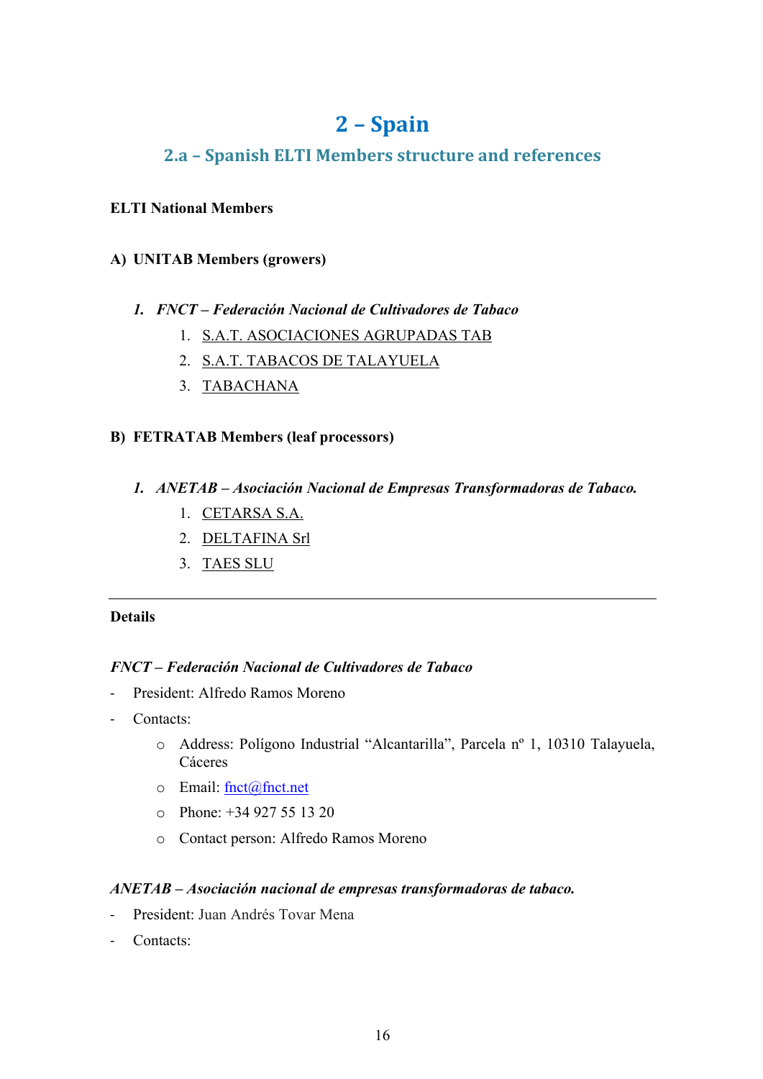## **2 – Spain**

## **2.a – Spanish ELTI Members structure and references**

## **ELTI National Members**

## **A) UNITAB Members (growers)**

## *1. FNCT – Federación Nacional de Cultivadores de Tabaco*

- 1. S.A.T. ASOCIACIONES AGRUPADAS TAB
- 2. S.A.T. TABACOS DE TALAYUELA
- 3. TABACHANA

## **B) FETRATAB Members (leaf processors)**

- *1. ANETAB – Asociación Nacional de Empresas Transformadoras de Tabaco.*
	- 1. CETARSA S.A.
	- 2. DELTAFINA Srl
	- 3. TAES SLU

## **Details**

## *FNCT – Federación Nacional de Cultivadores de Tabaco*

- President: Alfredo Ramos Moreno
- Contacts:
	- o Address: Polígono Industrial "Alcantarilla", Parcela nº 1, 10310 Talayuela, Cáceres
	- o Email: fnct@fnct.net
	- o Phone: +34 927 55 13 20
	- o Contact person: Alfredo Ramos Moreno

## *ANETAB – Asociación nacional de empresas transformadoras de tabaco.*

- President: Juan Andrés Tovar Mena
- Contacts: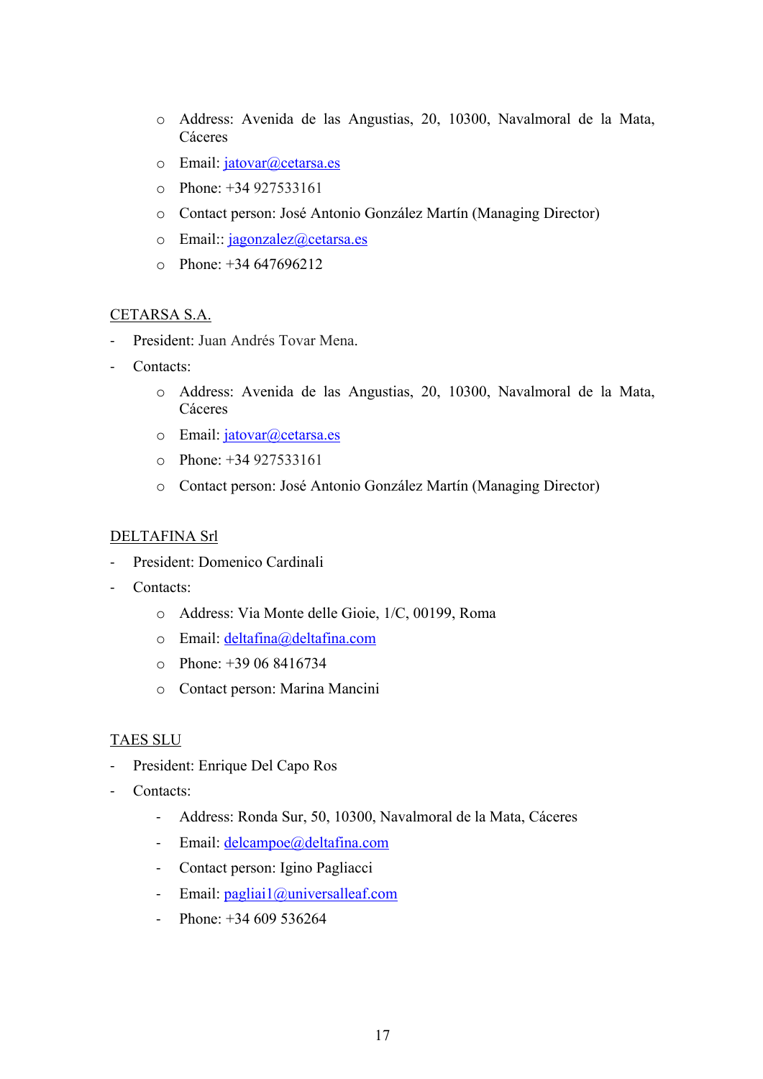- o Address: Avenida de las Angustias, 20, 10300, Navalmoral de la Mata, Cáceres
- o Email: jatovar@cetarsa.es
- o Phone: +34 927533161
- o Contact person: José Antonio González Martín (Managing Director)
- $\circ$  Email: jagonzalez@cetarsa.es
- o Phone: +34 647696212

## CETARSA S.A.

- President: Juan Andrés Tovar Mena.
- Contacts:
	- o Address: Avenida de las Angustias, 20, 10300, Navalmoral de la Mata, Cáceres
	- o Email: jatovar@cetarsa.es
	- o Phone: +34 927533161
	- o Contact person: José Antonio González Martín (Managing Director)

## DELTAFINA Srl

- President: Domenico Cardinali
- Contacts:
	- o Address: Via Monte delle Gioie, 1/C, 00199, Roma
	- o Email: deltafina@deltafina.com
	- o Phone: +39 06 8416734
	- o Contact person: Marina Mancini

## TAES SLU

- President: Enrique Del Capo Ros
- Contacts:
	- Address: Ronda Sur, 50, 10300, Navalmoral de la Mata, Cáceres
	- Email: delcampoe@deltafina.com
	- Contact person: Igino Pagliacci
	- Email: pagliai1@universalleaf.com
	- Phone:  $+34,609,536264$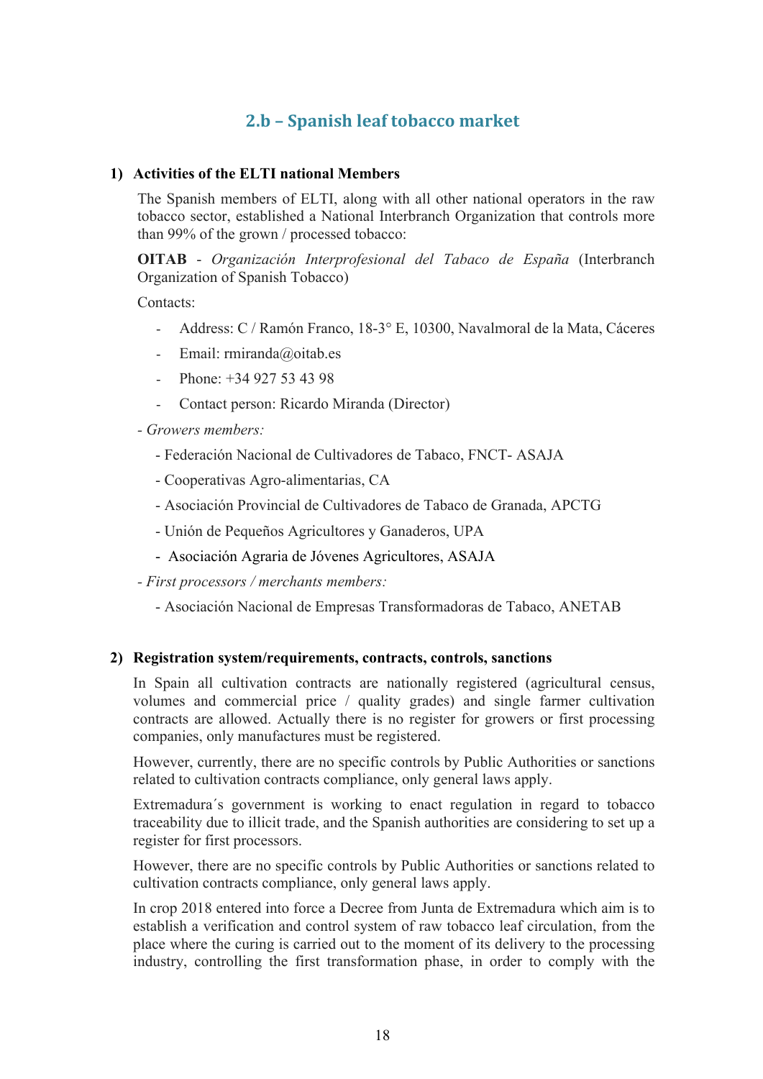## **2.b – Spanish leaf tobacco market**

## **1) Activities of the ELTI national Members**

The Spanish members of ELTI, along with all other national operators in the raw tobacco sector, established a National Interbranch Organization that controls more than 99% of the grown / processed tobacco:

**OITAB** - *Organización Interprofesional del Tabaco de España* (Interbranch Organization of Spanish Tobacco)

Contacts:

- Address: C / Ramón Franco, 18-3° E, 10300, Navalmoral de la Mata, Cáceres
- Email: rmiranda@oitab.es
- Phone: +34 927 53 43 98
- Contact person: Ricardo Miranda (Director)
- *- Growers members:*
	- Federación Nacional de Cultivadores de Tabaco, FNCT- ASAJA
	- Cooperativas Agro-alimentarias, CA
	- Asociación Provincial de Cultivadores de Tabaco de Granada, APCTG
	- Unión de Pequeños Agricultores y Ganaderos, UPA
	- Asociación Agraria de Jóvenes Agricultores, ASAJA
- *- First processors / merchants members:*
	- Asociación Nacional de Empresas Transformadoras de Tabaco, ANETAB

#### **2) Registration system/requirements, contracts, controls, sanctions**

In Spain all cultivation contracts are nationally registered (agricultural census, volumes and commercial price / quality grades) and single farmer cultivation contracts are allowed. Actually there is no register for growers or first processing companies, only manufactures must be registered.

However, currently, there are no specific controls by Public Authorities or sanctions related to cultivation contracts compliance, only general laws apply.

Extremadura´s government is working to enact regulation in regard to tobacco traceability due to illicit trade, and the Spanish authorities are considering to set up a register for first processors.

However, there are no specific controls by Public Authorities or sanctions related to cultivation contracts compliance, only general laws apply.

In crop 2018 entered into force a Decree from Junta de Extremadura which aim is to establish a verification and control system of raw tobacco leaf circulation, from the place where the curing is carried out to the moment of its delivery to the processing industry, controlling the first transformation phase, in order to comply with the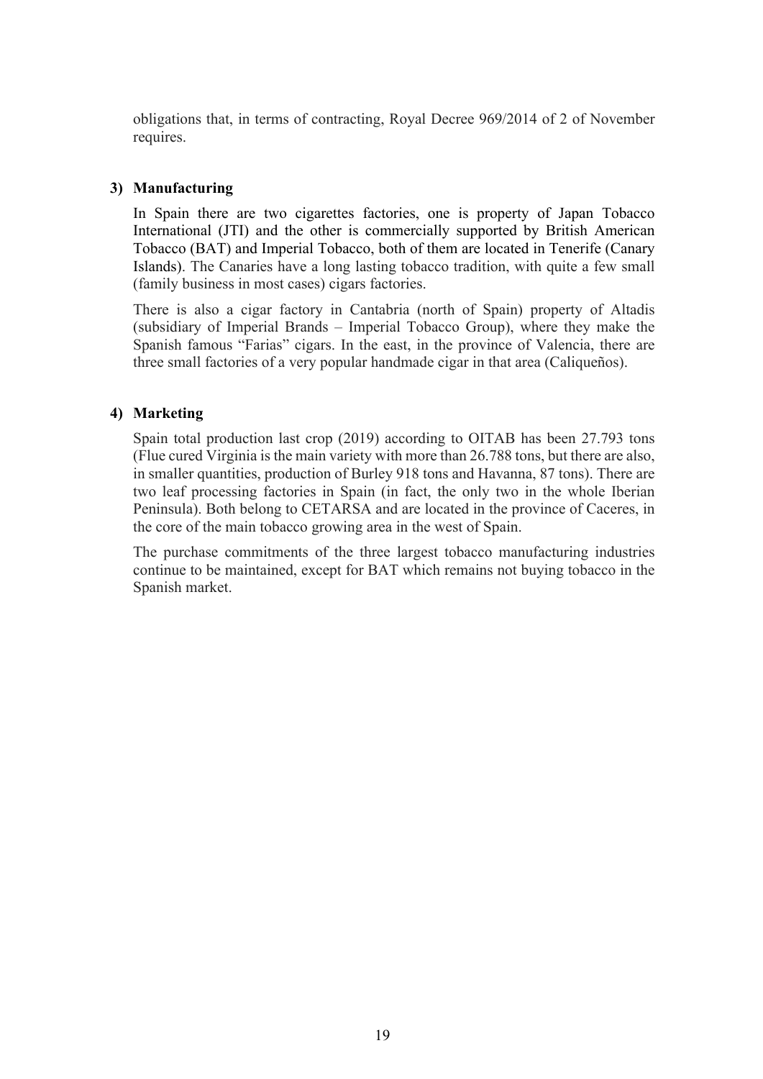obligations that, in terms of contracting, Royal Decree 969/2014 of 2 of November requires.

### **3) Manufacturing**

In Spain there are two cigarettes factories, one is property of Japan Tobacco International (JTI) and the other is commercially supported by British American Tobacco (BAT) and Imperial Tobacco, both of them are located in Tenerife (Canary Islands). The Canaries have a long lasting tobacco tradition, with quite a few small (family business in most cases) cigars factories.

There is also a cigar factory in Cantabria (north of Spain) property of Altadis (subsidiary of Imperial Brands – Imperial Tobacco Group), where they make the Spanish famous "Farias" cigars. In the east, in the province of Valencia, there are three small factories of a very popular handmade cigar in that area (Caliqueños).

## **4) Marketing**

Spain total production last crop (2019) according to OITAB has been 27.793 tons (Flue cured Virginia is the main variety with more than 26.788 tons, but there are also, in smaller quantities, production of Burley 918 tons and Havanna, 87 tons). There are two leaf processing factories in Spain (in fact, the only two in the whole Iberian Peninsula). Both belong to CETARSA and are located in the province of Caceres, in the core of the main tobacco growing area in the west of Spain.

The purchase commitments of the three largest tobacco manufacturing industries continue to be maintained, except for BAT which remains not buying tobacco in the Spanish market.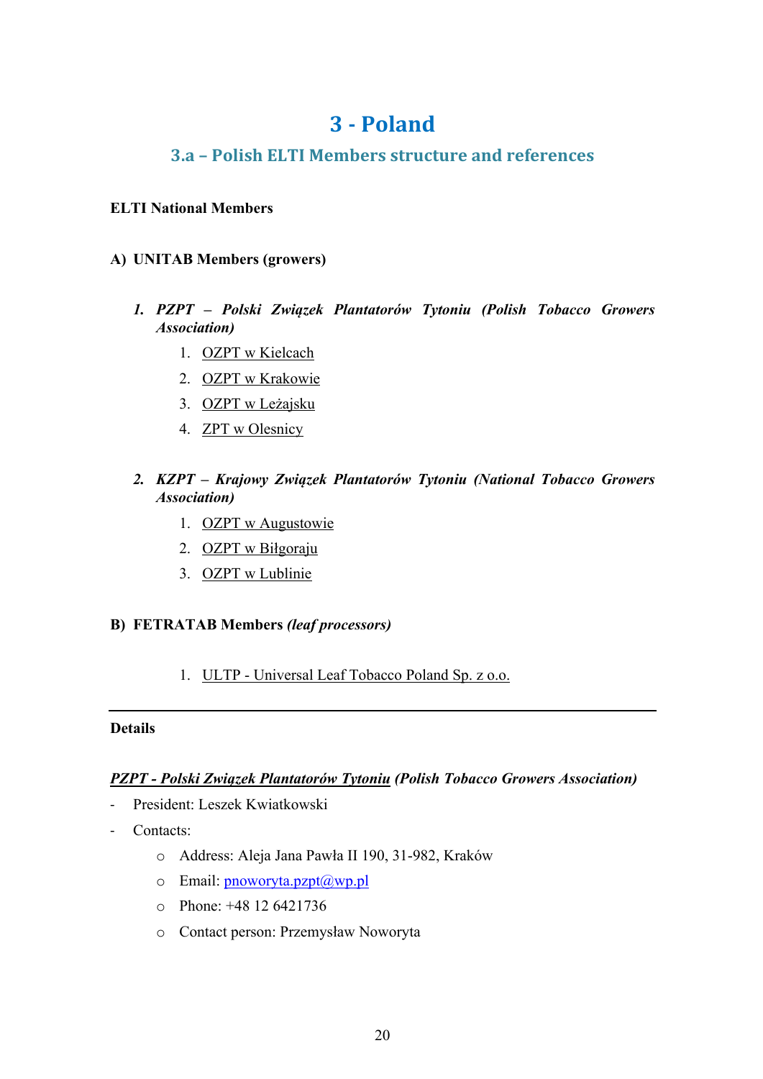## **3 - Poland**

## **3.a – Polish ELTI Members structure and references**

## **ELTI National Members**

## **A) UNITAB Members (growers)**

- *1. PZPT – Polski Związek Plantatorów Tytoniu (Polish Tobacco Growers Association)*
	- 1. OZPT w Kielcach
	- 2. OZPT w Krakowie
	- 3. OZPT w Leżajsku
	- 4. ZPT w Olesnicy
- *2. KZPT – Krajowy Związek Plantatorów Tytoniu (National Tobacco Growers Association)*
	- 1. OZPT w Augustowie
	- 2. OZPT w Biłgoraju
	- 3. OZPT w Lublinie

## **B) FETRATAB Members** *(leaf processors)*

1. ULTP - Universal Leaf Tobacco Poland Sp. z o.o.

#### **Details**

## *PZPT - Polski Związek Plantatorów Tytoniu (Polish Tobacco Growers Association)*

- President: Leszek Kwiatkowski
- Contacts:
	- o Address: Aleja Jana Pawła II 190, 31-982, Kraków
	- $\circ$  Email: pnoworyta.pzpt $(\partial_x w p.p)$
	- o Phone: +48 12 6421736
	- o Contact person: Przemysław Noworyta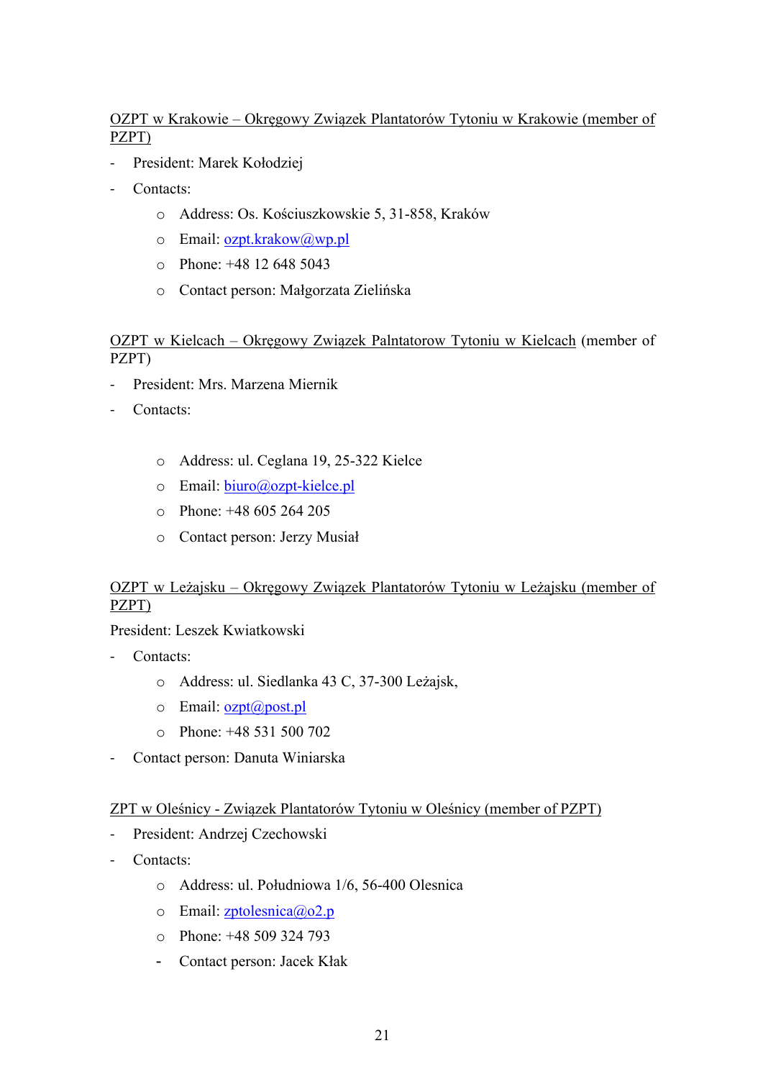## OZPT w Krakowie – Okręgowy Związek Plantatorów Tytoniu w Krakowie (member of PZPT)

- President: Marek Kołodziej
- Contacts:
	- o Address: Os. Kościuszkowskie 5, 31-858, Kraków
	- o Email: ozpt.krakow@wp.pl
	- o Phone: +48 12 648 5043
	- o Contact person: Małgorzata Zielińska

## OZPT w Kielcach – Okręgowy Związek Palntatorow Tytoniu w Kielcach (member of PZPT)

- President: Mrs. Marzena Miernik
- Contacts:
	- o Address: ul. Ceglana 19, 25-322 Kielce
	- o Email: biuro@ozpt-kielce.pl
	- $\degree$  Phone: +48 605 264 205
	- o Contact person: Jerzy Musiał

## OZPT w Leżajsku – Okręgowy Związek Plantatorów Tytoniu w Leżajsku (member of PZPT)

President: Leszek Kwiatkowski

- Contacts<sup>-</sup>
	- o Address: ul. Siedlanka 43 C, 37-300 Leżajsk,
	- $\circ$  Email:  $ozpt(\widehat{a})$  post.pl
	- o Phone: +48 531 500 702
- Contact person: Danuta Winiarska

#### ZPT w Oleśnicy - Związek Plantatorów Tytoniu w Oleśnicy (member of PZPT)

- President: Andrzej Czechowski
- Contacts:
	- o Address: ul. Południowa 1/6, 56-400 Olesnica
	- $\circ$  Email: zptolesnica@o2.p
	- o Phone: +48 509 324 793
	- Contact person: Jacek Kłak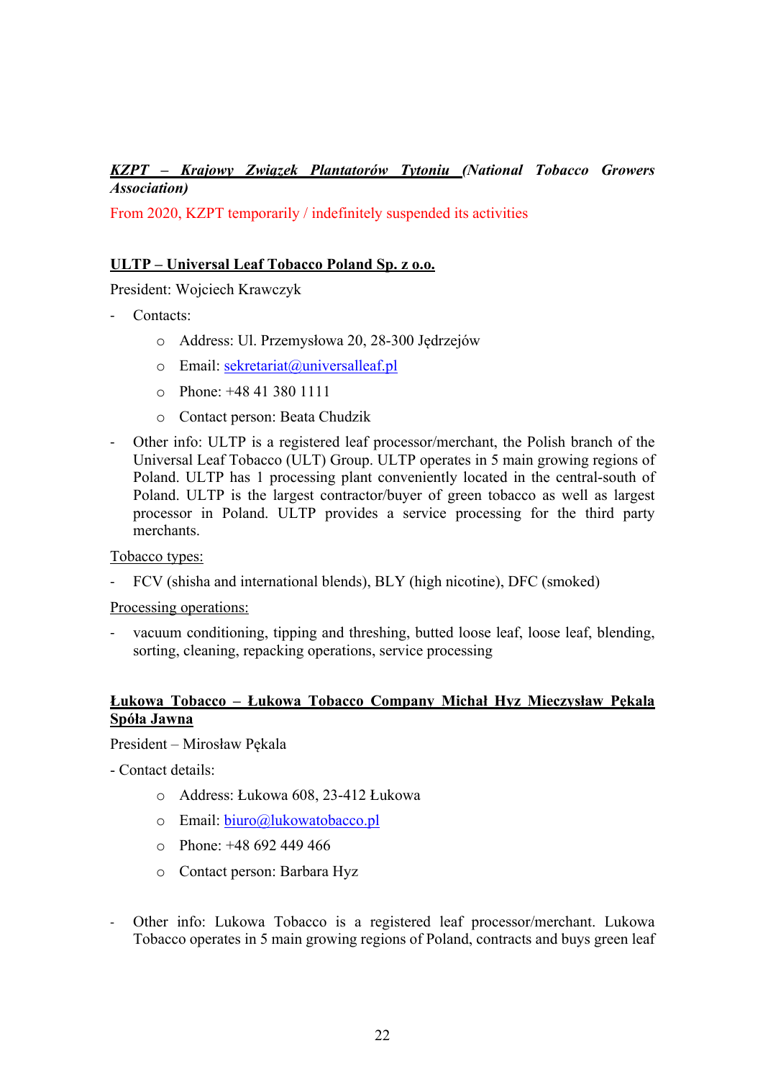## *KZPT – Krajowy Związek Plantatorów Tytoniu (National Tobacco Growers Association)*

From 2020, KZPT temporarily / indefinitely suspended its activities

## **ULTP – Universal Leaf Tobacco Poland Sp. z o.o.**

President: Wojciech Krawczyk

- Contacts:
	- o Address: Ul. Przemysłowa 20, 28-300 Jędrzejów
	- o Email: sekretariat@universalleaf.pl
	- o Phone: +48 41 380 1111
	- o Contact person: Beata Chudzik
- Other info: ULTP is a registered leaf processor/merchant, the Polish branch of the Universal Leaf Tobacco (ULT) Group. ULTP operates in 5 main growing regions of Poland. ULTP has 1 processing plant conveniently located in the central-south of Poland. ULTP is the largest contractor/buyer of green tobacco as well as largest processor in Poland. ULTP provides a service processing for the third party merchants.

Tobacco types:

FCV (shisha and international blends), BLY (high nicotine), DFC (smoked)

#### Processing operations:

vacuum conditioning, tipping and threshing, butted loose leaf, loose leaf, blending, sorting, cleaning, repacking operations, service processing

## **Łukowa Tobacco – Łukowa Tobacco Company Michał Hyz Mieczysław Pękala Spóła Jawna**

President – Mirosław Pękala

- Contact details:

- o Address: Łukowa 608, 23-412 Łukowa
- o Email: biuro@lukowatobacco.pl
- $\degree$  Phone: +48 692 449 466
- o Contact person: Barbara Hyz
- Other info: Lukowa Tobacco is a registered leaf processor/merchant. Lukowa Tobacco operates in 5 main growing regions of Poland, contracts and buys green leaf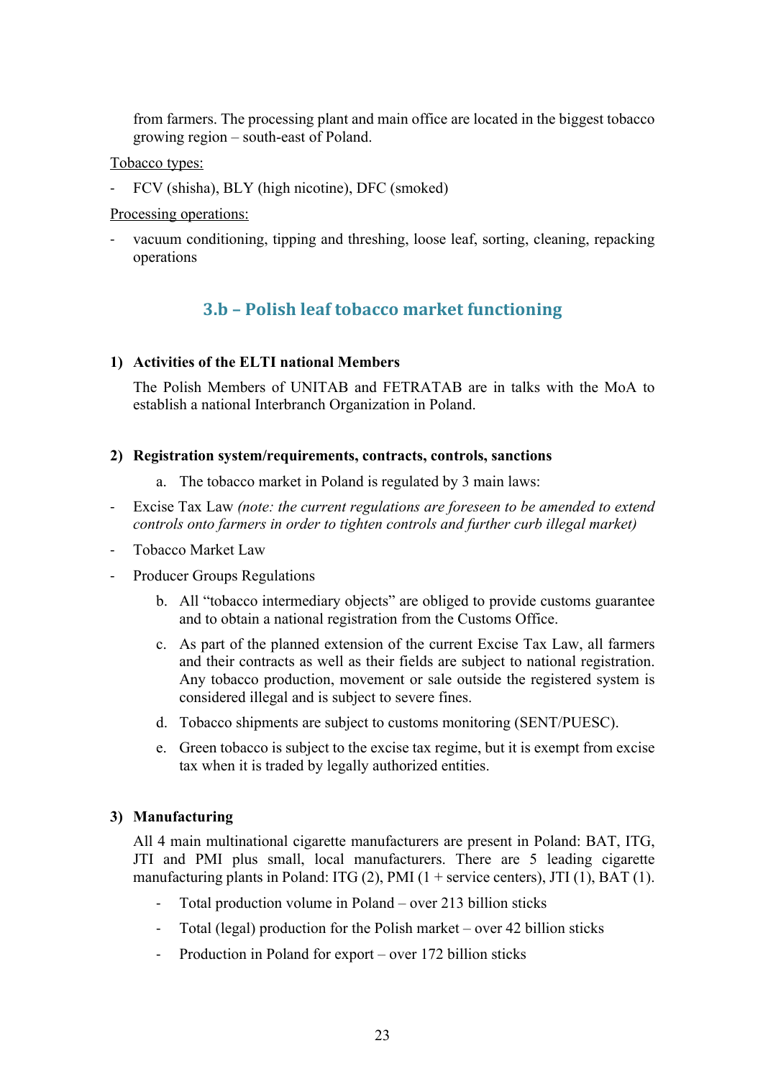from farmers. The processing plant and main office are located in the biggest tobacco growing region – south-east of Poland.

Tobacco types:

- FCV (shisha), BLY (high nicotine), DFC (smoked)

## Processing operations:

vacuum conditioning, tipping and threshing, loose leaf, sorting, cleaning, repacking operations

## **3.b – Polish leaf tobacco market functioning**

## **1) Activities of the ELTI national Members**

The Polish Members of UNITAB and FETRATAB are in talks with the MoA to establish a national Interbranch Organization in Poland.

## **2) Registration system/requirements, contracts, controls, sanctions**

- a. The tobacco market in Poland is regulated by 3 main laws:
- Excise Tax Law *(note: the current regulations are foreseen to be amended to extend controls onto farmers in order to tighten controls and further curb illegal market)*
- Tobacco Market Law
- Producer Groups Regulations
	- b. All "tobacco intermediary objects" are obliged to provide customs guarantee and to obtain a national registration from the Customs Office.
	- c. As part of the planned extension of the current Excise Tax Law, all farmers and their contracts as well as their fields are subject to national registration. Any tobacco production, movement or sale outside the registered system is considered illegal and is subject to severe fines.
	- d. Tobacco shipments are subject to customs monitoring (SENT/PUESC).
	- e. Green tobacco is subject to the excise tax regime, but it is exempt from excise tax when it is traded by legally authorized entities.

## **3) Manufacturing**

All 4 main multinational cigarette manufacturers are present in Poland: BAT, ITG, JTI and PMI plus small, local manufacturers. There are 5 leading cigarette manufacturing plants in Poland: ITG  $(2)$ , PMI  $(1 +$  service centers), JTI  $(1)$ , BAT  $(1)$ .

- Total production volume in Poland over 213 billion sticks
- Total (legal) production for the Polish market over 42 billion sticks
- Production in Poland for export over 172 billion sticks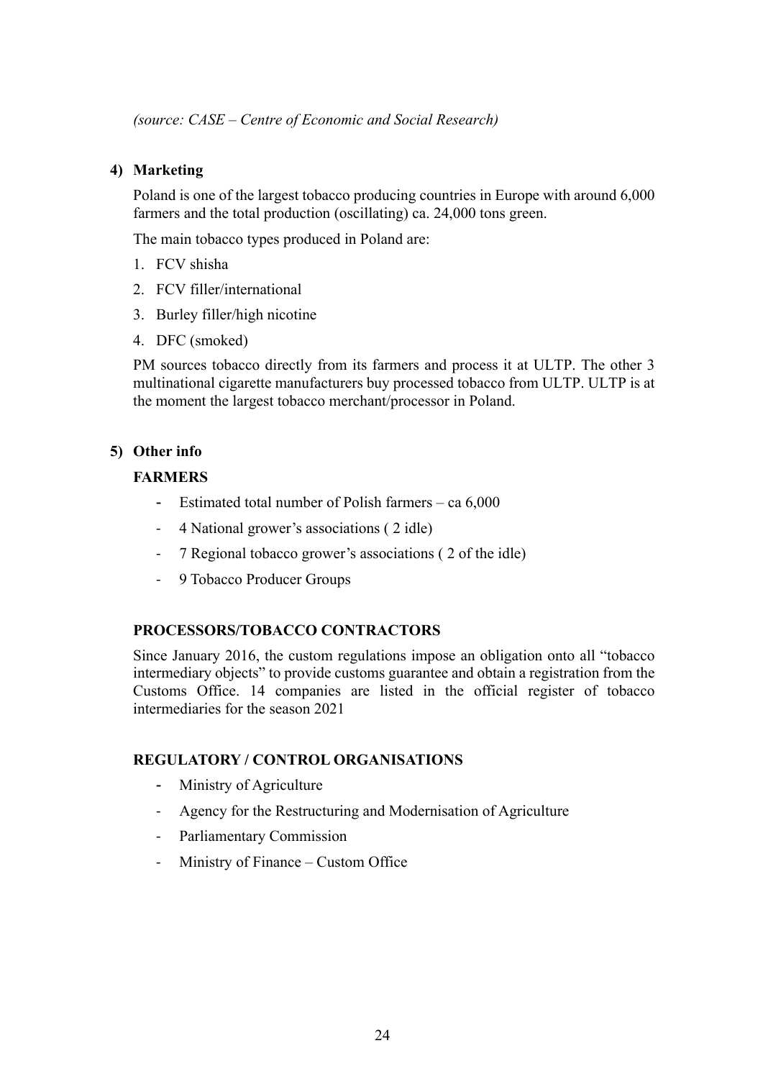*(source: CASE – Centre of Economic and Social Research)*

## **4) Marketing**

Poland is one of the largest tobacco producing countries in Europe with around 6,000 farmers and the total production (oscillating) ca. 24,000 tons green.

The main tobacco types produced in Poland are:

- 1. FCV shisha
- 2. FCV filler/international
- 3. Burley filler/high nicotine
- 4. DFC (smoked)

PM sources tobacco directly from its farmers and process it at ULTP. The other 3 multinational cigarette manufacturers buy processed tobacco from ULTP. ULTP is at the moment the largest tobacco merchant/processor in Poland.

## **5) Other info**

## **FARMERS**

- Estimated total number of Polish farmers ca 6,000
- 4 National grower's associations ( 2 idle)
- 7 Regional tobacco grower's associations ( 2 of the idle)
- 9 Tobacco Producer Groups

## **PROCESSORS/TOBACCO CONTRACTORS**

Since January 2016, the custom regulations impose an obligation onto all "tobacco intermediary objects" to provide customs guarantee and obtain a registration from the Customs Office. 14 companies are listed in the official register of tobacco intermediaries for the season 2021

#### **REGULATORY / CONTROL ORGANISATIONS**

- Ministry of Agriculture
- Agency for the Restructuring and Modernisation of Agriculture
- Parliamentary Commission
- Ministry of Finance Custom Office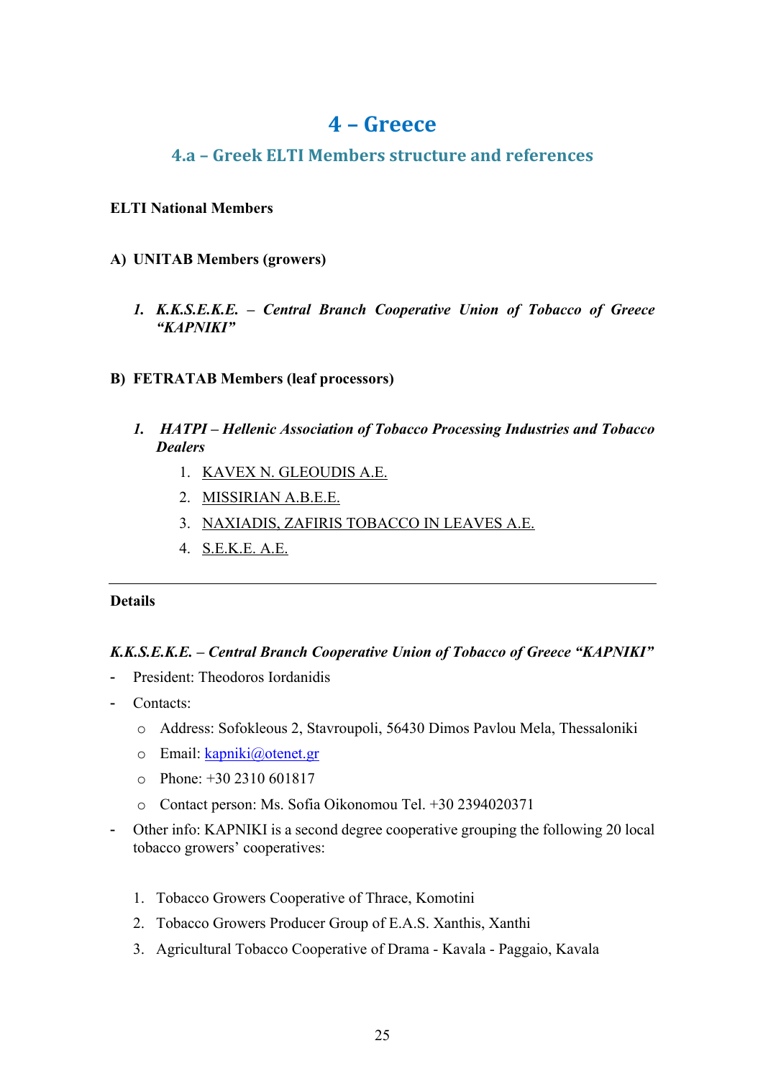## **4 – Greece**

## **4.a – Greek ELTI Members structure and references**

## **ELTI National Members**

- **A) UNITAB Members (growers)**
	- *1. K.K.S.E.K.E. – Central Branch Cooperative Union of Tobacco of Greece "KAPNIKI"*
- **B) FETRATAB Members (leaf processors)**
	- *1. HATPI – Hellenic Association of Tobacco Processing Industries and Tobacco Dealers*
		- 1. KAVEX N. GLEOUDIS A.E.
		- 2. MISSIRIAN Α.Β.Ε.E.
		- 3. NAXIADIS, ZAFIRIS TOBACCO IN LEAVES Α.Ε.
		- 4. S.E.K.E. Α.Ε.

## **Details**

## *K.K.S.E.K.E. – Central Branch Cooperative Union of Tobacco of Greece "KAPNIKI"*

- President: Theodoros Iordanidis
- Contacts:
	- o Address: Sofokleous 2, Stavroupoli, 56430 Dimos Pavlou Mela, Thessaloniki
	- o Email: kapniki@otenet.gr
	- $\degree$  Phone: +30 2310 601817
	- o Contact person: Ms. Sofia Oikonomou Tel. +30 2394020371
- Other info: KAPNIKI is a second degree cooperative grouping the following 20 local tobacco growers' cooperatives:
	- 1. Tobacco Growers Cooperative of Thrace, Komotini
	- 2. Tobacco Growers Producer Group of E.A.S. Xanthis, Xanthi
	- 3. Agricultural Tobacco Cooperative of Drama Kavala Paggaio, Kavala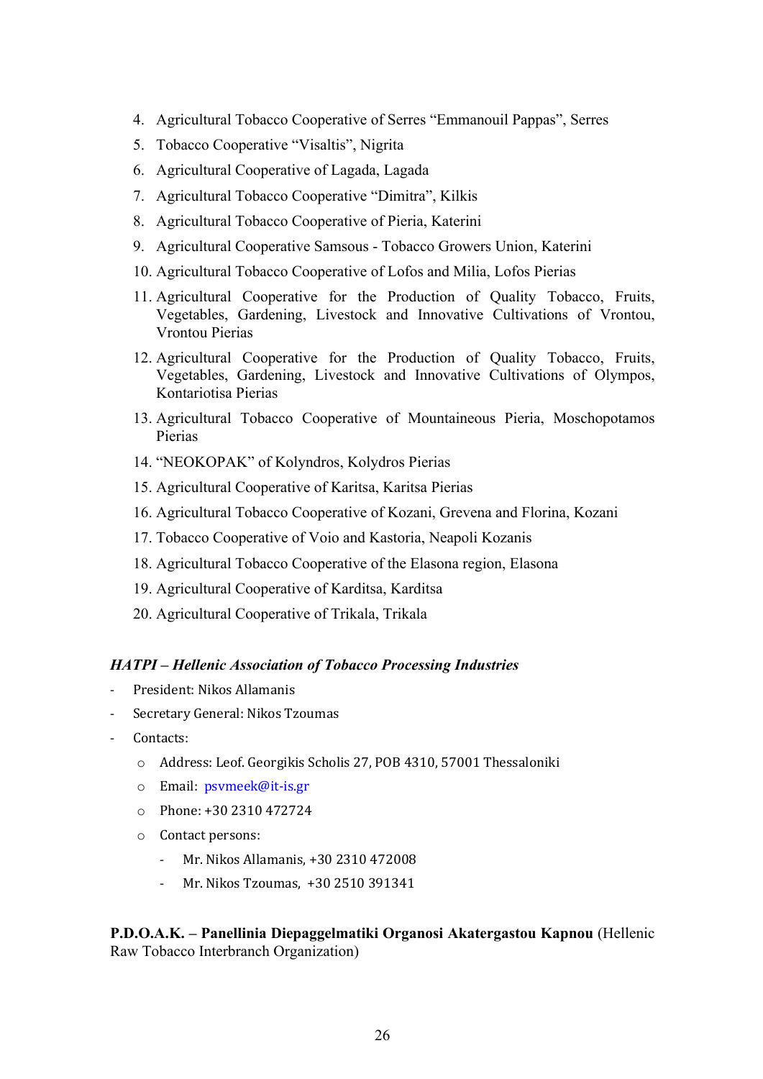- 4. Agricultural Tobacco Cooperative of Serres "Emmanouil Pappas", Serres
- 5. Tobacco Cooperative "Visaltis", Nigrita
- 6. Agricultural Cooperative of Lagada, Lagada
- 7. Agricultural Tobacco Cooperative "Dimitra", Kilkis
- 8. Agricultural Tobacco Cooperative of Pieria, Katerini
- 9. Agricultural Cooperative Samsous Tobacco Growers Union, Katerini
- 10. Agricultural Tobacco Cooperative of Lofos and Milia, Lofos Pierias
- 11. Agricultural Cooperative for the Production of Quality Tobacco, Fruits, Vegetables, Gardening, Livestock and Innovative Cultivations of Vrontou, Vrontou Pierias
- 12. Agricultural Cooperative for the Production of Quality Tobacco, Fruits, Vegetables, Gardening, Livestock and Innovative Cultivations of Olympos, Kontariotisa Pierias
- 13. Agricultural Tobacco Cooperative of Mountaineous Pieria, Moschopotamos Pierias
- 14. "NEOKOPAK" of Kolyndros, Kolydros Pierias
- 15. Agricultural Cooperative of Karitsa, Karitsa Pierias
- 16. Agricultural Tobacco Cooperative of Kozani, Grevena and Florina, Kozani
- 17. Tobacco Cooperative of Voio and Kastoria, Neapoli Kozanis
- 18. Agricultural Tobacco Cooperative of the Elasona region, Elasona
- 19. Agricultural Cooperative of Karditsa, Karditsa
- 20. Agricultural Cooperative of Trikala, Trikala

#### *HATPI – Hellenic Association of Tobacco Processing Industries*

- President: Nikos Allamanis
- Secretary General: Nikos Tzoumas
- Contacts:
	- o Address: Leof. Georgikis Scholis 27, POB 4310, 57001 Thessaloniki
	- o Email: psymeek@it-is.gr
	- o Phone: +30 2310 472724
	- $\circ$  Contact persons:
		- Mr. Nikos Allamanis, +30 2310 472008
		- Mr. Nikos Tzoumas, +30 2510 391341

## **P.D.O.A.K. – Panellinia Diepaggelmatiki Organosi Akatergastou Kapnou** (Hellenic Raw Tobacco Interbranch Organization)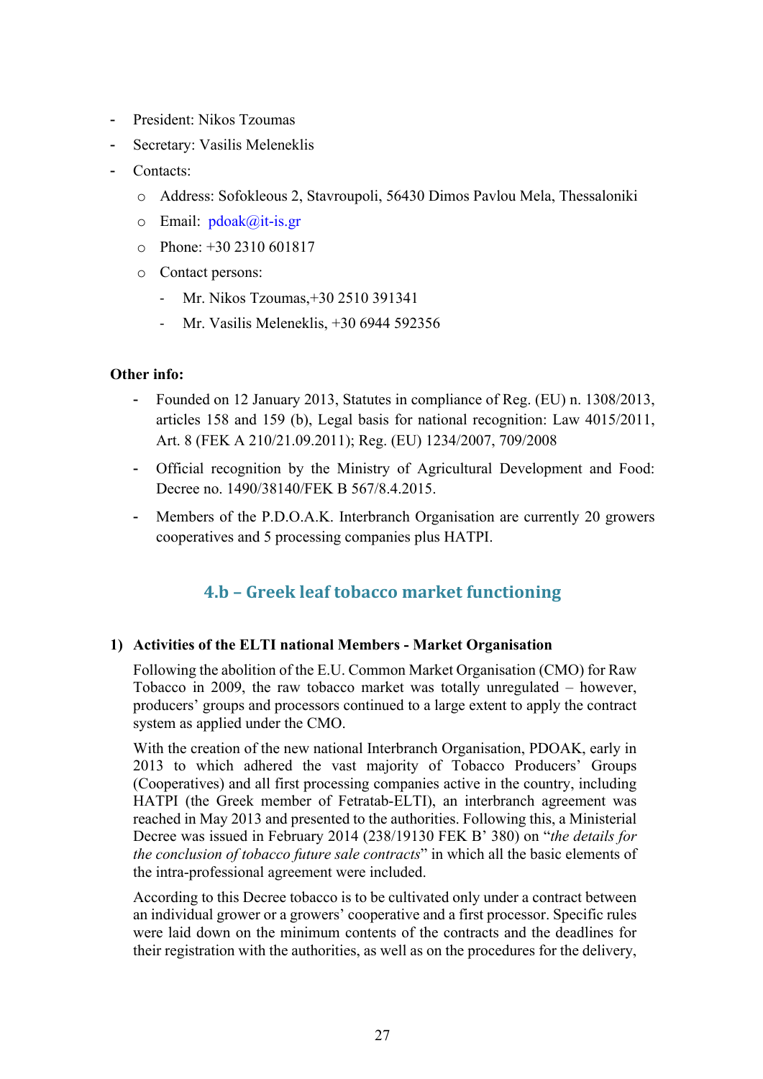- President: Nikos Tzoumas
- Secretary: Vasilis Meleneklis
- Contacts:
	- o Address: Sofokleous 2, Stavroupoli, 56430 Dimos Pavlou Mela, Thessaloniki
	- $\circ$  Email:  $pdoak@it-is.gr$
	- o Phone: +30 2310 601817
	- o Contact persons:
		- Mr. Nikos Tzoumas, +30 2510 391341
		- Mr. Vasilis Meleneklis, +30 6944 592356

## **Other info:**

- Founded on 12 January 2013, Statutes in compliance of Reg. (EU) n. 1308/2013, articles 158 and 159 (b), Legal basis for national recognition: Law 4015/2011, Art. 8 (FEK A 210/21.09.2011); Reg. (EU) 1234/2007, 709/2008
- Official recognition by the Ministry of Agricultural Development and Food: Decree no. 1490/38140/FEK B 567/8.4.2015.
- Members of the P.D.O.A.K. Interbranch Organisation are currently 20 growers cooperatives and 5 processing companies plus HATPI.

## **4.b – Greek leaf tobacco market functioning**

#### **1) Activities of the ELTI national Members - Market Organisation**

Following the abolition of the E.U. Common Market Organisation (CMO) for Raw Tobacco in 2009, the raw tobacco market was totally unregulated – however, producers' groups and processors continued to a large extent to apply the contract system as applied under the CMO.

With the creation of the new national Interbranch Organisation, PDOAK, early in 2013 to which adhered the vast majority of Tobacco Producers' Groups (Cooperatives) and all first processing companies active in the country, including HATPI (the Greek member of Fetratab-ELTI), an interbranch agreement was reached in May 2013 and presented to the authorities. Following this, a Ministerial Decree was issued in February 2014 (238/19130 FEK B' 380) on "*the details for the conclusion of tobacco future sale contracts*" in which all the basic elements of the intra-professional agreement were included.

According to this Decree tobacco is to be cultivated only under a contract between an individual grower or a growers' cooperative and a first processor. Specific rules were laid down on the minimum contents of the contracts and the deadlines for their registration with the authorities, as well as on the procedures for the delivery,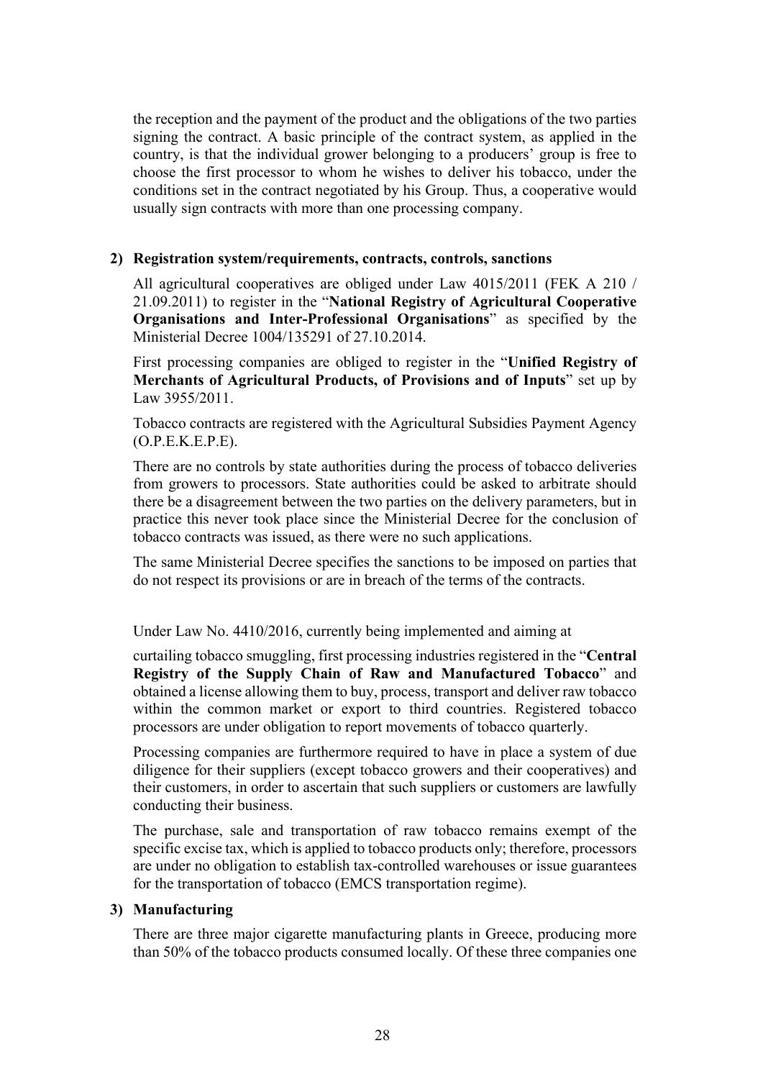the reception and the payment of the product and the obligations of the two parties signing the contract. A basic principle of the contract system, as applied in the country, is that the individual grower belonging to a producers' group is free to choose the first processor to whom he wishes to deliver his tobacco, under the conditions set in the contract negotiated by his Group. Thus, a cooperative would usually sign contracts with more than one processing company.

## **2) Registration system/requirements, contracts, controls, sanctions**

All agricultural cooperatives are obliged under Law 4015/2011 (FEK A 210 / 21.09.2011) to register in the "**National Registry of Agricultural Cooperative Organisations and Inter-Professional Organisations**" as specified by the Ministerial Decree 1004/135291 of 27.10.2014.

First processing companies are obliged to register in the "**Unified Registry of Merchants of Agricultural Products, of Provisions and of Inputs**" set up by Law 3955/2011.

Tobacco contracts are registered with the Agricultural Subsidies Payment Agency (O.P.E.K.E.P.E).

There are no controls by state authorities during the process of tobacco deliveries from growers to processors. State authorities could be asked to arbitrate should there be a disagreement between the two parties on the delivery parameters, but in practice this never took place since the Ministerial Decree for the conclusion of tobacco contracts was issued, as there were no such applications.

The same Ministerial Decree specifies the sanctions to be imposed on parties that do not respect its provisions or are in breach of the terms of the contracts.

Under Law No. 4410/2016, currently being implemented and aiming at

curtailing tobacco smuggling, first processing industries registered in the "**Central Registry of the Supply Chain of Raw and Manufactured Tobacco**" and obtained a license allowing them to buy, process, transport and deliver raw tobacco within the common market or export to third countries. Registered tobacco processors are under obligation to report movements of tobacco quarterly.

Processing companies are furthermore required to have in place a system of due diligence for their suppliers (except tobacco growers and their cooperatives) and their customers, in order to ascertain that such suppliers or customers are lawfully conducting their business.

The purchase, sale and transportation of raw tobacco remains exempt of the specific excise tax, which is applied to tobacco products only; therefore, processors are under no obligation to establish tax-controlled warehouses or issue guarantees for the transportation of tobacco (EMCS transportation regime).

#### **3) Manufacturing**

There are three major cigarette manufacturing plants in Greece, producing more than 50% of the tobacco products consumed locally. Of these three companies one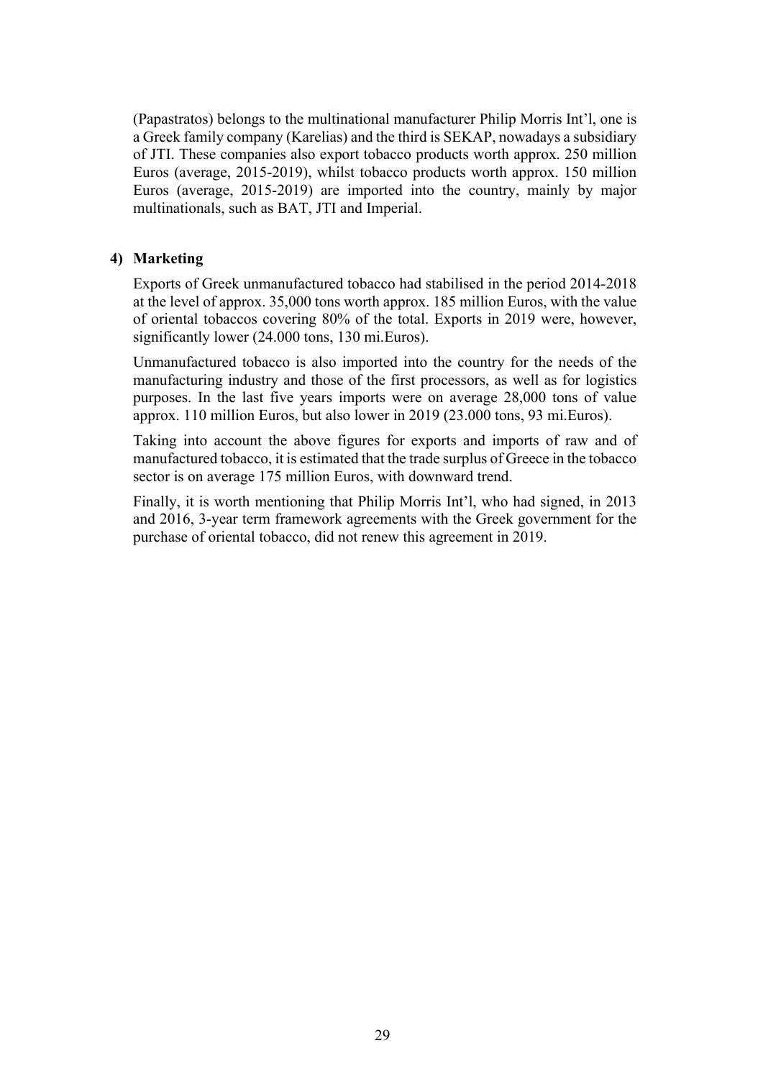(Papastratos) belongs to the multinational manufacturer Philip Morris Int'l, one is a Greek family company (Karelias) and the third is SEKAP, nowadays a subsidiary of JTI. These companies also export tobacco products worth approx. 250 million Euros (average, 2015-2019), whilst tobacco products worth approx. 150 million Euros (average, 2015-2019) are imported into the country, mainly by major multinationals, such as BAT, JTI and Imperial.

## **4) Marketing**

Exports of Greek unmanufactured tobacco had stabilised in the period 2014-2018 at the level of approx. 35,000 tons worth approx. 185 million Euros, with the value of oriental tobaccos covering 80% of the total. Exports in 2019 were, however, significantly lower (24.000 tons, 130 mi.Euros).

Unmanufactured tobacco is also imported into the country for the needs of the manufacturing industry and those of the first processors, as well as for logistics purposes. In the last five years imports were on average 28,000 tons of value approx. 110 million Euros, but also lower in 2019 (23.000 tons, 93 mi.Euros).

Taking into account the above figures for exports and imports of raw and of manufactured tobacco, it is estimated that the trade surplus of Greece in the tobacco sector is on average 175 million Euros, with downward trend.

Finally, it is worth mentioning that Philip Morris Int'l, who had signed, in 2013 and 2016, 3-year term framework agreements with the Greek government for the purchase of oriental tobacco, did not renew this agreement in 2019.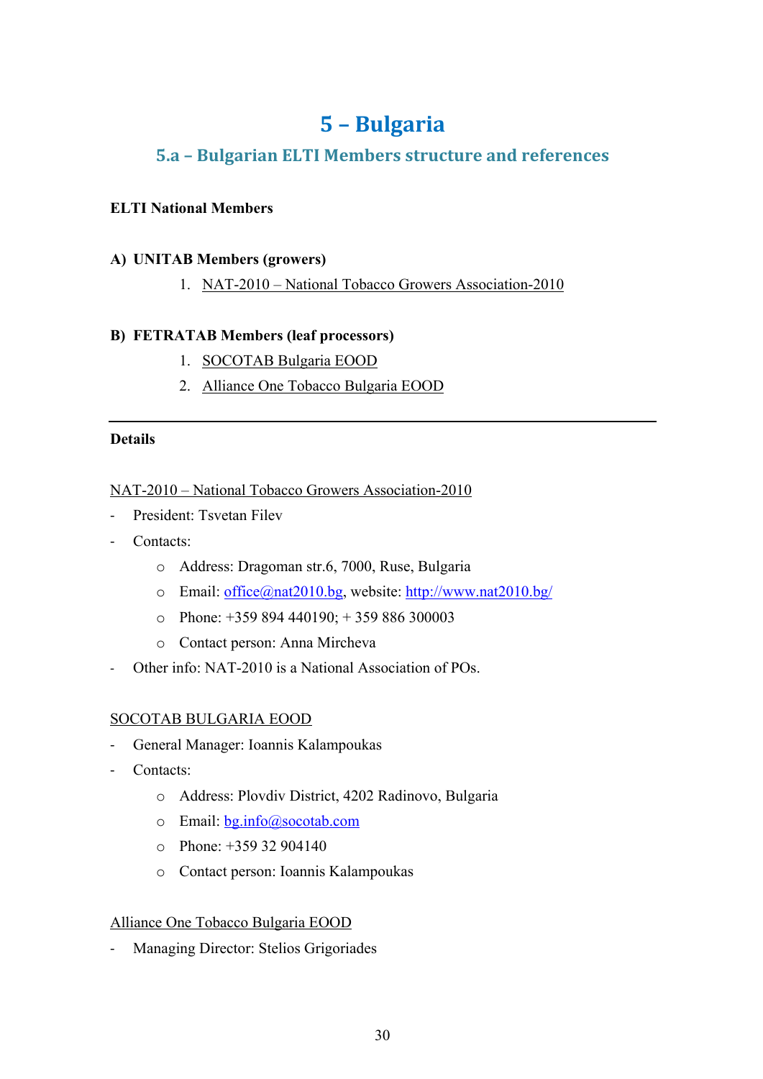# **5 – Bulgaria**

## **5.a – Bulgarian ELTI Members structure and references**

## **ELTI National Members**

## **A) UNITAB Members (growers)**

1. NAT-2010 – National Tobacco Growers Association-2010

## **B) FETRATAB Members (leaf processors)**

- 1. SOCOTAB Bulgaria EOOD
- 2. Alliance One Tobacco Bulgaria EOOD

## **Details**

## NAT-2010 – National Tobacco Growers Association-2010

- President: Tsvetan Filev
- Contacts:
	- o Address: Dragoman str.6, 7000, Ruse, Bulgaria
	- o Email: office@nat2010.bg, website: http://www.nat2010.bg/
	- $\degree$  Phone: +359 894 440190; +359 886 300003
	- o Contact person: Anna Mircheva
- Other info: NAT-2010 is a National Association of POs.

## SOCOTAB BULGARIA EOOD

- General Manager: Ioannis Kalampoukas
- Contacts:
	- o Address: Plovdiv District, 4202 Radinovo, Bulgaria
	- o Email: bg.info@socotab.com
	- o Phone: +359 32 904140
	- o Contact person: Ioannis Kalampoukas

## Alliance One Tobacco Bulgaria EOOD

Managing Director: Stelios Grigoriades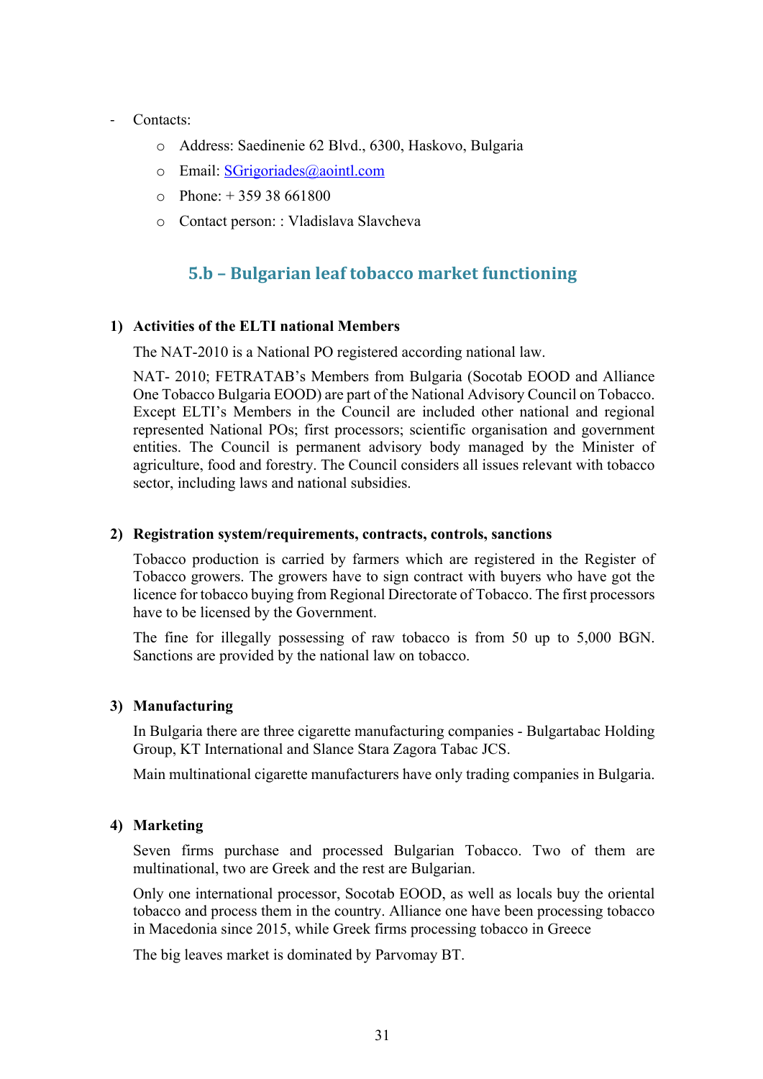### Contacts:

- o Address: Saedinenie 62 Blvd., 6300, Haskovo, Bulgaria
- o Email: SGrigoriades@aointl.com
- $\Omega$  Phone:  $+ 35938661800$
- o Contact person: : Vladislava Slavcheva

## **5.b – Bulgarian leaf tobacco market functioning**

## **1) Activities of the ELTI national Members**

The NAT-2010 is a National PO registered according national law.

NAT- 2010; FETRATAB's Members from Bulgaria (Socotab EOOD and Alliance One Tobacco Bulgaria EOOD) are part of the National Advisory Council on Tobacco. Except ELTI's Members in the Council are included other national and regional represented National POs; first processors; scientific organisation and government entities. The Council is permanent advisory body managed by the Minister of agriculture, food and forestry. The Council considers all issues relevant with tobacco sector, including laws and national subsidies.

#### **2) Registration system/requirements, contracts, controls, sanctions**

Tobacco production is carried by farmers which are registered in the Register of Tobacco growers. The growers have to sign contract with buyers who have got the licence for tobacco buying from Regional Directorate of Tobacco. The first processors have to be licensed by the Government.

The fine for illegally possessing of raw tobacco is from 50 up to 5,000 BGN. Sanctions are provided by the national law on tobacco.

#### **3) Manufacturing**

In Bulgaria there are three cigarette manufacturing companies - Bulgartabac Holding Group, KT International and Slance Stara Zagora Tabac JCS.

Main multinational cigarette manufacturers have only trading companies in Bulgaria.

## **4) Marketing**

Seven firms purchase and processed Bulgarian Tobacco. Two of them are multinational, two are Greek and the rest are Bulgarian.

Only one international processor, Socotab EOOD, as well as locals buy the oriental tobacco and process them in the country. Alliance one have been processing tobacco in Macedonia since 2015, while Greek firms processing tobacco in Greece

The big leaves market is dominated by Parvomay BT.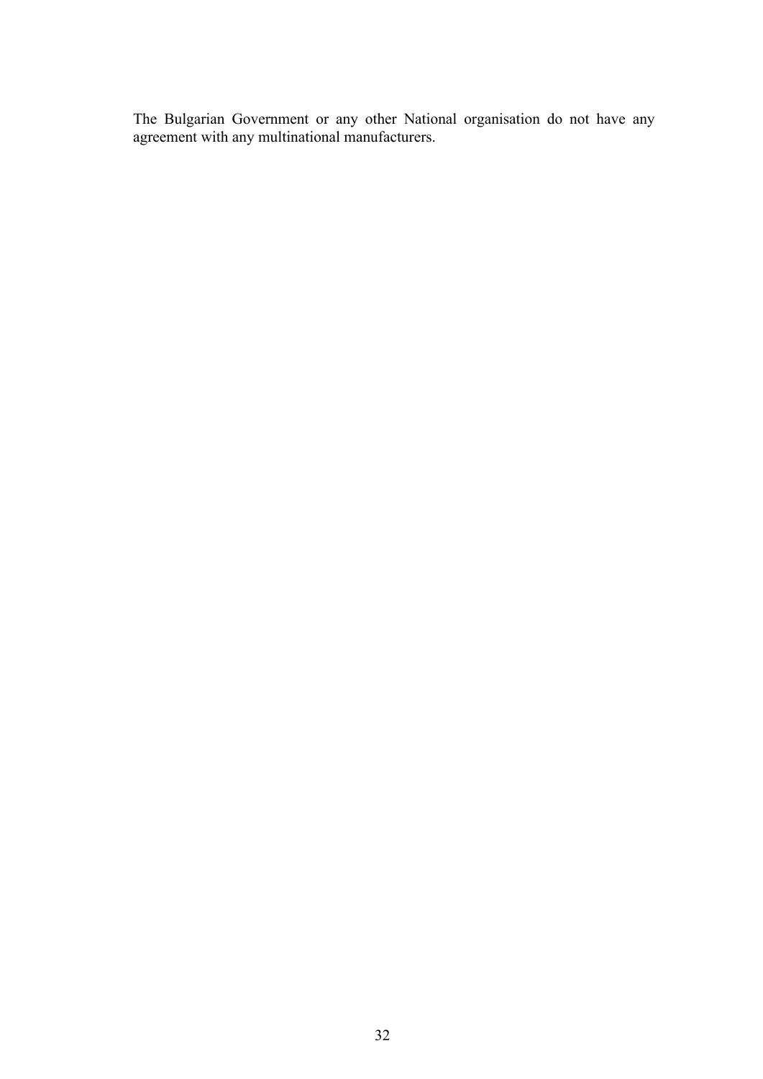The Bulgarian Government or any other National organisation do not have any agreement with any multinational manufacturers.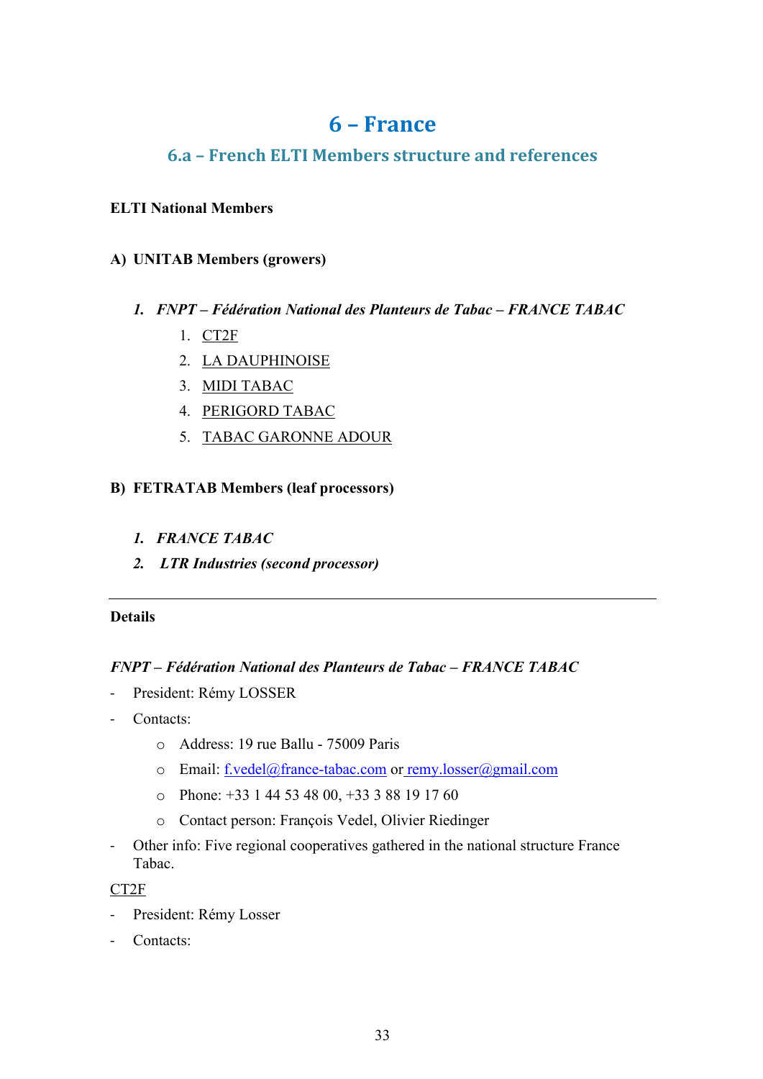## **6 – France**

## **6.a – French ELTI Members structure and references**

## **ELTI National Members**

## **A) UNITAB Members (growers)**

- *1. FNPT – Fédération National des Planteurs de Tabac – FRANCE TABAC*
	- 1. CT2F
	- 2. LA DAUPHINOISE
	- 3. MIDI TABAC
	- 4. PERIGORD TABAC
	- 5. TABAC GARONNE ADOUR

## **B) FETRATAB Members (leaf processors)**

- *1. FRANCE TABAC*
- *2. LTR Industries (second processor)*

## **Details**

## *FNPT – Fédération National des Planteurs de Tabac – FRANCE TABAC*

- President: Rémy LOSSER
- Contacts:
	- o Address: 19 rue Ballu 75009 Paris
	- o Email: f.vedel@france-tabac.com or remy.losser@gmail.com
	- o Phone: +33 1 44 53 48 00, +33 3 88 19 17 60
	- o Contact person: François Vedel, Olivier Riedinger
- Other info: Five regional cooperatives gathered in the national structure France Tabac.

## CT2F

- President: Rémy Losser
- Contacts: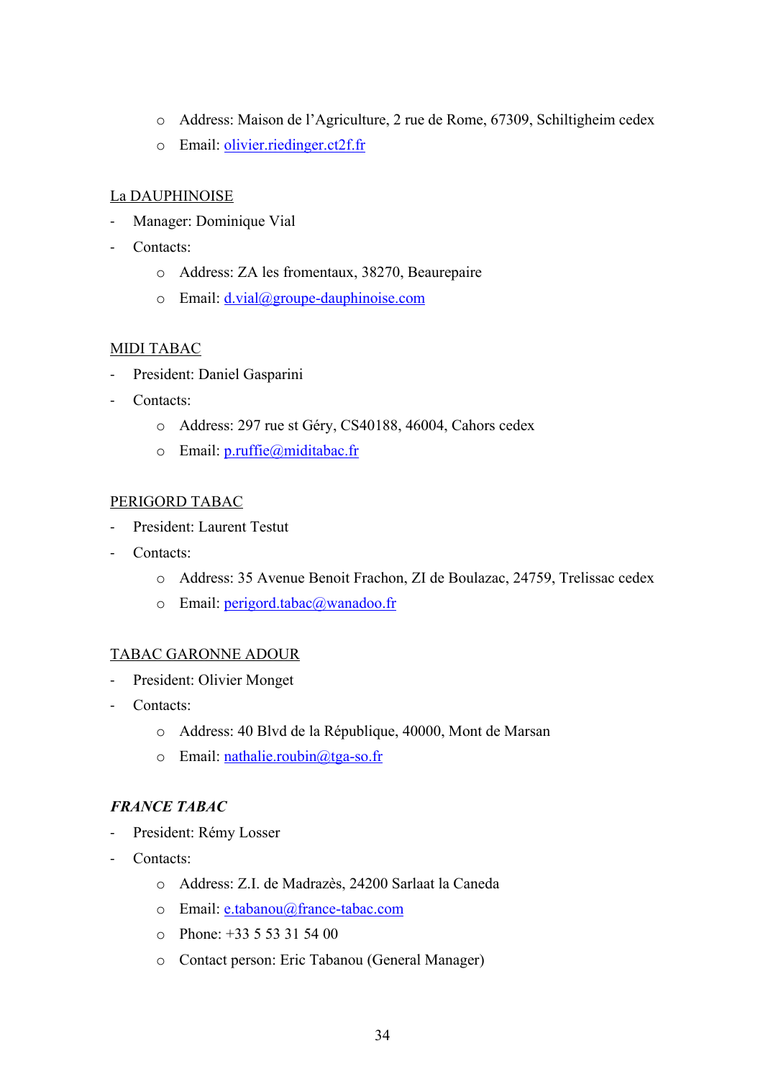- o Address: Maison de l'Agriculture, 2 rue de Rome, 67309, Schiltigheim cedex
- o Email: olivier.riedinger.ct2f.fr

## La DAUPHINOISE

- Manager: Dominique Vial
- Contacts:
	- o Address: ZA les fromentaux, 38270, Beaurepaire
	- $\circ$  Email:  $d.vial@group$ e-dauphinoise.com

## MIDI TABAC

- President: Daniel Gasparini
- Contacts:
	- o Address: 297 rue st Géry, CS40188, 46004, Cahors cedex
	- o Email: p.ruffie@miditabac.fr

## PERIGORD TABAC

- President: Laurent Testut
- Contacts:
	- o Address: 35 Avenue Benoit Frachon, ZI de Boulazac, 24759, Trelissac cedex
	- o Email: perigord.tabac@wanadoo.fr

## TABAC GARONNE ADOUR

- President: Olivier Monget
- Contacts:
	- o Address: 40 Blvd de la République, 40000, Mont de Marsan
	- o Email: nathalie.roubin@tga-so.fr

## *FRANCE TABAC*

- President: Rémy Losser
- Contacts:
	- o Address: Z.I. de Madrazès, 24200 Sarlaat la Caneda
	- o Email: e.tabanou@france-tabac.com
	- $\circ$  Phone: +33 5 53 31 54 00
	- o Contact person: Eric Tabanou (General Manager)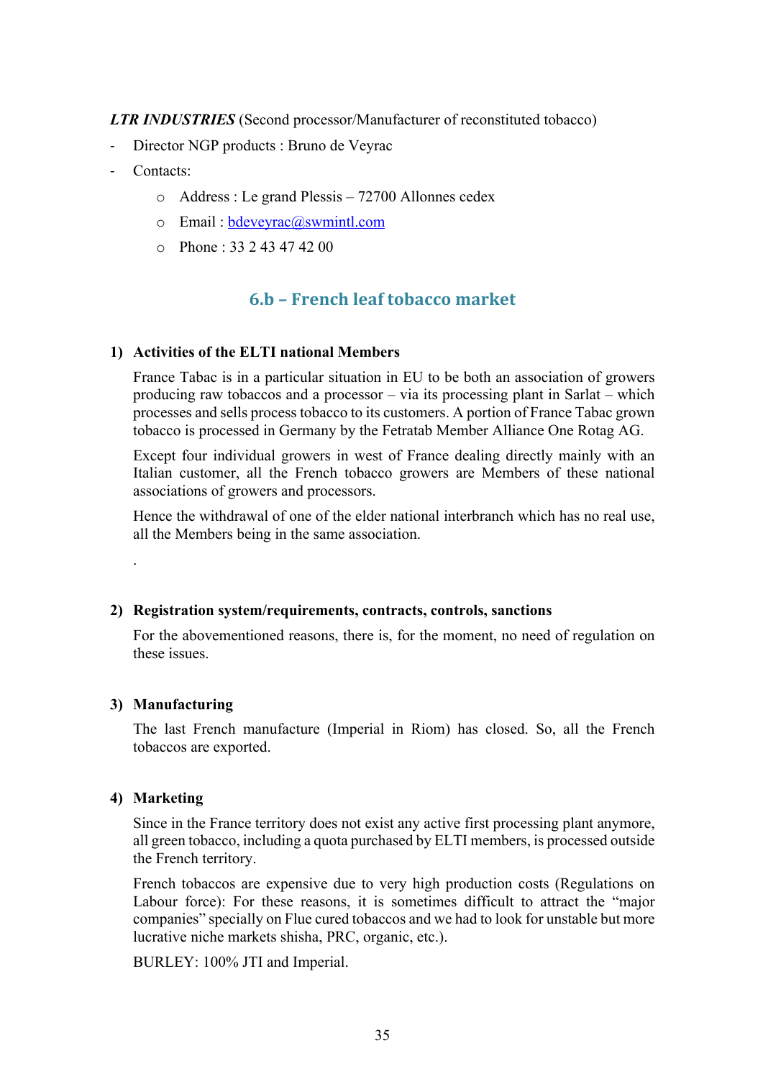*LTR INDUSTRIES* (Second processor/Manufacturer of reconstituted tobacco)

- Director NGP products : Bruno de Veyrac
- Contacts:
	- o Address : Le grand Plessis 72700 Allonnes cedex
	- o Email : bdeveyrac@swmintl.com
	- o Phone : 33 2 43 47 42 00

## **6.b – French leaf tobacco market**

## **1) Activities of the ELTI national Members**

France Tabac is in a particular situation in EU to be both an association of growers producing raw tobaccos and a processor – via its processing plant in Sarlat – which processes and sells process tobacco to its customers. A portion of France Tabac grown tobacco is processed in Germany by the Fetratab Member Alliance One Rotag AG.

Except four individual growers in west of France dealing directly mainly with an Italian customer, all the French tobacco growers are Members of these national associations of growers and processors.

Hence the withdrawal of one of the elder national interbranch which has no real use, all the Members being in the same association.

#### **2) Registration system/requirements, contracts, controls, sanctions**

For the abovementioned reasons, there is, for the moment, no need of regulation on these issues.

#### **3) Manufacturing**

.

The last French manufacture (Imperial in Riom) has closed. So, all the French tobaccos are exported.

## **4) Marketing**

Since in the France territory does not exist any active first processing plant anymore, all green tobacco, including a quota purchased by ELTI members, is processed outside the French territory.

French tobaccos are expensive due to very high production costs (Regulations on Labour force): For these reasons, it is sometimes difficult to attract the "major companies" specially on Flue cured tobaccos and we had to look for unstable but more lucrative niche markets shisha, PRC, organic, etc.).

BURLEY: 100% JTI and Imperial.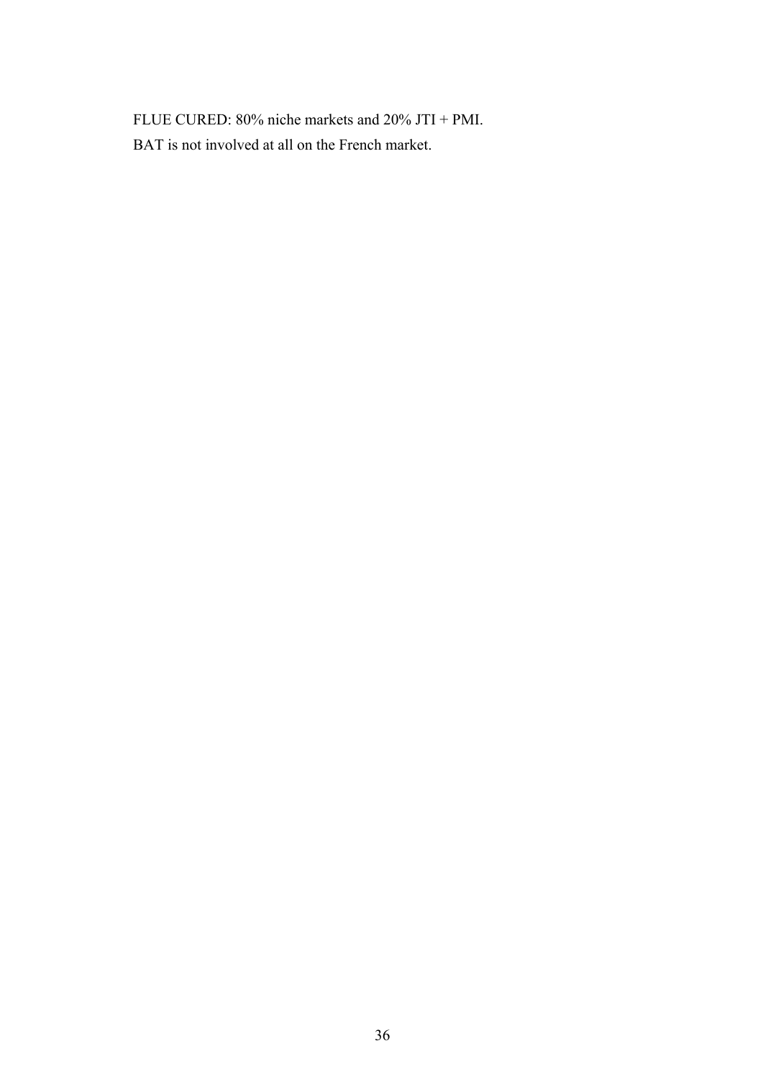FLUE CURED: 80% niche markets and 20% JTI + PMI. BAT is not involved at all on the French market.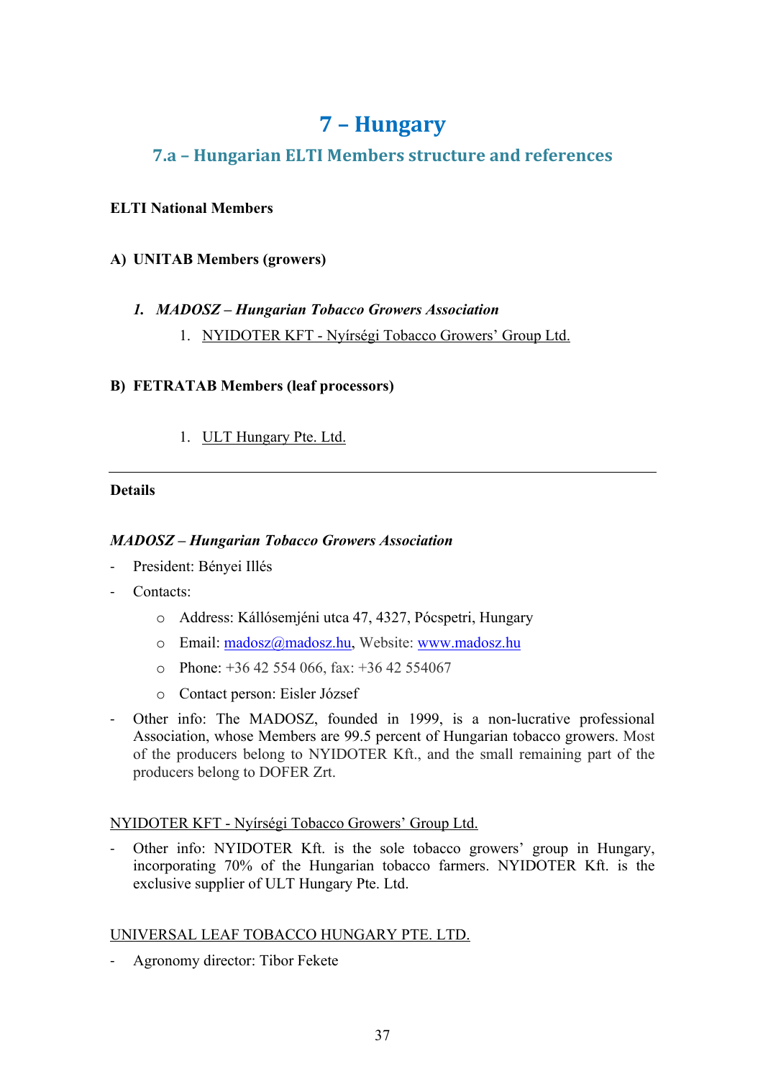## **7 – Hungary**

## **7.a – Hungarian ELTI Members structure and references**

## **ELTI National Members**

## **A) UNITAB Members (growers)**

## *1. MADOSZ – Hungarian Tobacco Growers Association*

1. NYIDOTER KFT - Nyírségi Tobacco Growers' Group Ltd.

## **B) FETRATAB Members (leaf processors)**

## 1. ULT Hungary Pte. Ltd.

## **Details**

## *MADOSZ – Hungarian Tobacco Growers Association*

- President: Bényei Illés
- Contacts:
	- o Address: Kállósemjéni utca 47, 4327, Pócspetri, Hungary
	- o Email: madosz@madosz.hu, Website: www.madosz.hu
	- $\degree$  Phone: +36 42 554 066, fax: +36 42 554067
	- o Contact person: Eisler József
- Other info: The MADOSZ, founded in 1999, is a non-lucrative professional Association, whose Members are 99.5 percent of Hungarian tobacco growers. Most of the producers belong to NYIDOTER Kft., and the small remaining part of the producers belong to DOFER Zrt.

## NYIDOTER KFT - Nyírségi Tobacco Growers' Group Ltd.

Other info: NYIDOTER Kft. is the sole tobacco growers' group in Hungary, incorporating 70% of the Hungarian tobacco farmers. NYIDOTER Kft. is the exclusive supplier of ULT Hungary Pte. Ltd.

## UNIVERSAL LEAF TOBACCO HUNGARY PTE. LTD.

Agronomy director: Tibor Fekete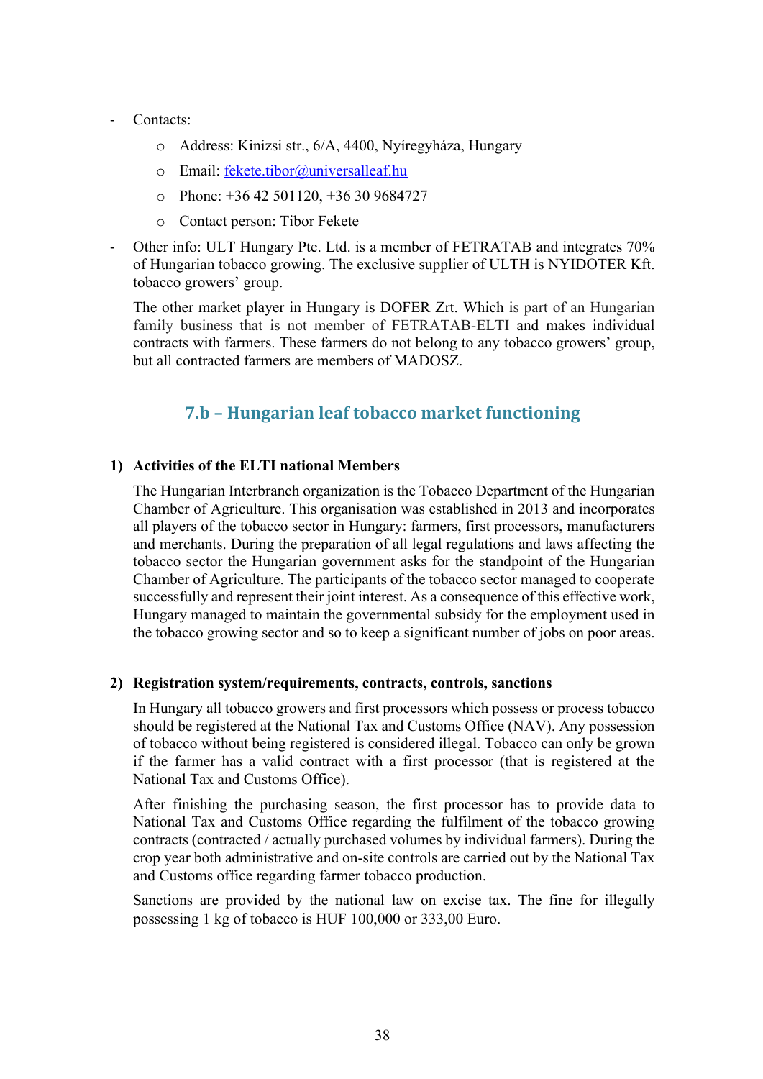- Contacts:
	- o Address: Kinizsi str., 6/A, 4400, Nyíregyháza, Hungary
	- o Email: fekete.tibor@universalleaf.hu
	- $\circ$  Phone: +36 42 501120, +36 30 9684727
	- o Contact person: Tibor Fekete
- Other info: ULT Hungary Pte. Ltd. is a member of FETRATAB and integrates 70% of Hungarian tobacco growing. The exclusive supplier of ULTH is NYIDOTER Kft. tobacco growers' group.

The other market player in Hungary is DOFER Zrt. Which is part of an Hungarian family business that is not member of FETRATAB-ELTI and makes individual contracts with farmers. These farmers do not belong to any tobacco growers' group, but all contracted farmers are members of MADOSZ.

## **7.b – Hungarian leaf tobacco market functioning**

#### **1) Activities of the ELTI national Members**

The Hungarian Interbranch organization is the Tobacco Department of the Hungarian Chamber of Agriculture. This organisation was established in 2013 and incorporates all players of the tobacco sector in Hungary: farmers, first processors, manufacturers and merchants. During the preparation of all legal regulations and laws affecting the tobacco sector the Hungarian government asks for the standpoint of the Hungarian Chamber of Agriculture. The participants of the tobacco sector managed to cooperate successfully and represent their joint interest. As a consequence of this effective work, Hungary managed to maintain the governmental subsidy for the employment used in the tobacco growing sector and so to keep a significant number of jobs on poor areas.

#### **2) Registration system/requirements, contracts, controls, sanctions**

In Hungary all tobacco growers and first processors which possess or process tobacco should be registered at the National Tax and Customs Office (NAV). Any possession of tobacco without being registered is considered illegal. Tobacco can only be grown if the farmer has a valid contract with a first processor (that is registered at the National Tax and Customs Office).

After finishing the purchasing season, the first processor has to provide data to National Tax and Customs Office regarding the fulfilment of the tobacco growing contracts (contracted / actually purchased volumes by individual farmers). During the crop year both administrative and on-site controls are carried out by the National Tax and Customs office regarding farmer tobacco production.

Sanctions are provided by the national law on excise tax. The fine for illegally possessing 1 kg of tobacco is HUF 100,000 or 333,00 Euro.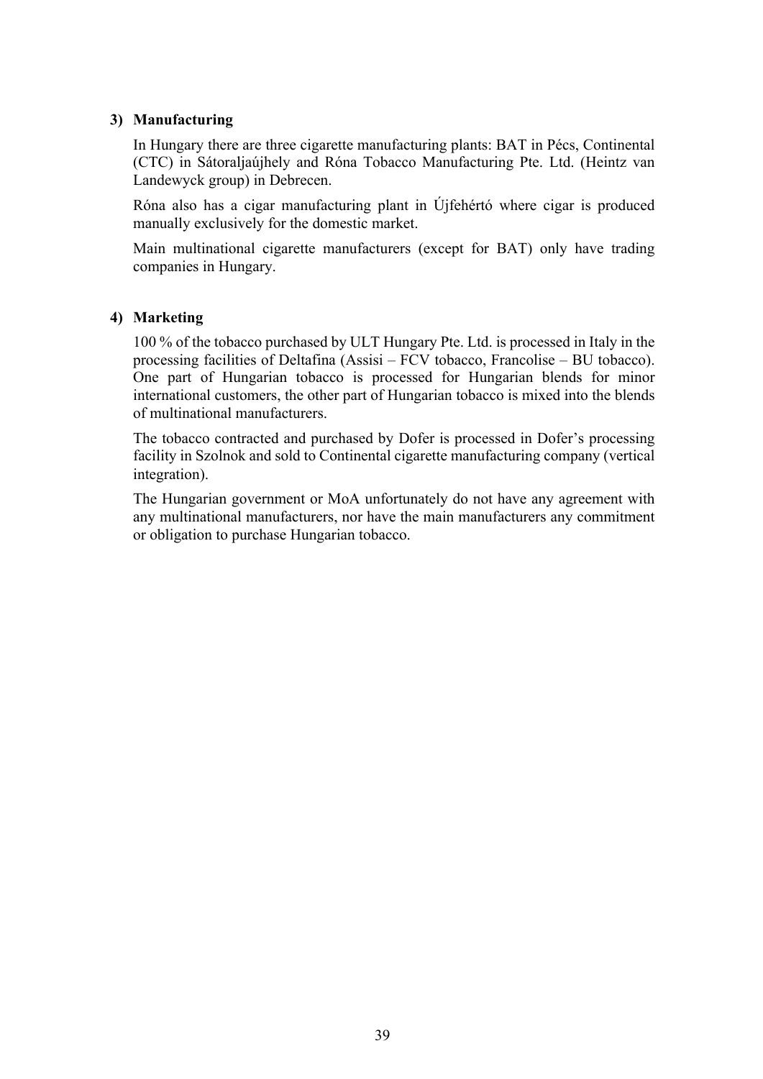## **3) Manufacturing**

In Hungary there are three cigarette manufacturing plants: BAT in Pécs, Continental (CTC) in Sátoraljaújhely and Róna Tobacco Manufacturing Pte. Ltd. (Heintz van Landewyck group) in Debrecen.

Róna also has a cigar manufacturing plant in Újfehértó where cigar is produced manually exclusively for the domestic market.

Main multinational cigarette manufacturers (except for BAT) only have trading companies in Hungary.

## **4) Marketing**

100 % of the tobacco purchased by ULT Hungary Pte. Ltd. is processed in Italy in the processing facilities of Deltafina (Assisi – FCV tobacco, Francolise – BU tobacco). One part of Hungarian tobacco is processed for Hungarian blends for minor international customers, the other part of Hungarian tobacco is mixed into the blends of multinational manufacturers.

The tobacco contracted and purchased by Dofer is processed in Dofer's processing facility in Szolnok and sold to Continental cigarette manufacturing company (vertical integration).

The Hungarian government or MoA unfortunately do not have any agreement with any multinational manufacturers, nor have the main manufacturers any commitment or obligation to purchase Hungarian tobacco.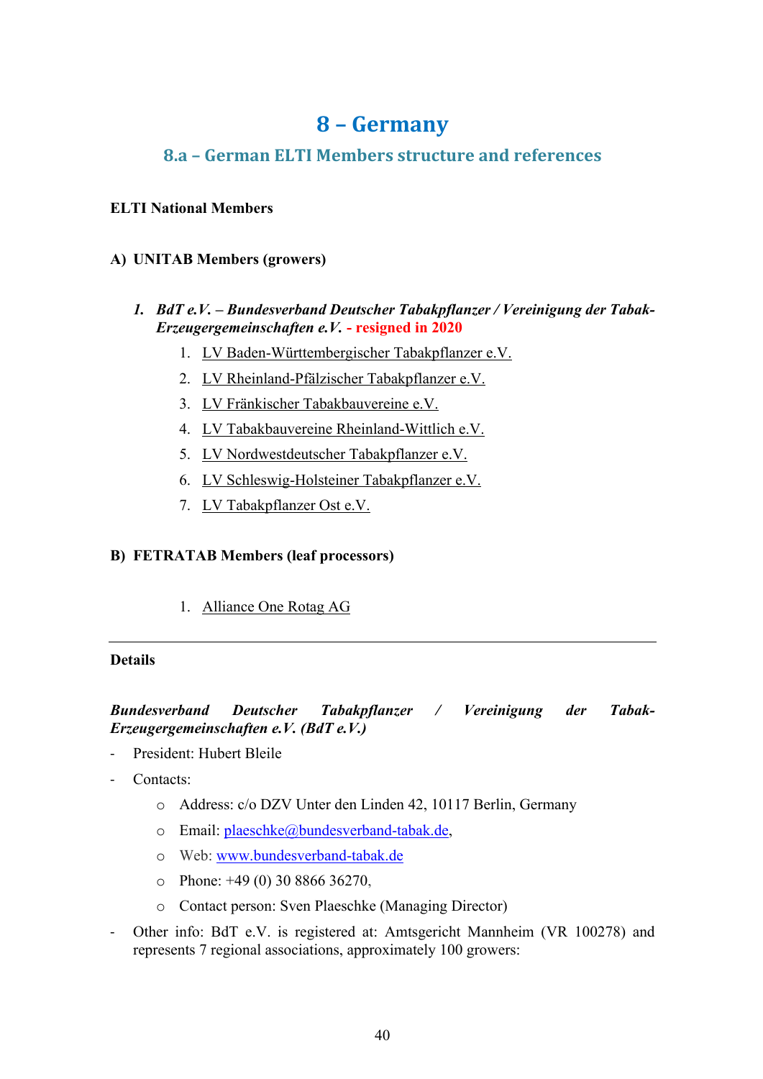## **8 – Germany**

## **8.a – German ELTI Members structure and references**

## **ELTI National Members**

## **A) UNITAB Members (growers)**

## *1. BdT e.V. – Bundesverband Deutscher Tabakpflanzer / Vereinigung der Tabak-Erzeugergemeinschaften e.V.* **- resigned in 2020**

- 1. LV Baden-Württembergischer Tabakpflanzer e.V.
- 2. LV Rheinland-Pfälzischer Tabakpflanzer e.V.
- 3. LV Fränkischer Tabakbauvereine e.V.
- 4. LV Tabakbauvereine Rheinland-Wittlich e.V.
- 5. LV Nordwestdeutscher Tabakpflanzer e.V.
- 6. LV Schleswig-Holsteiner Tabakpflanzer e.V.
- 7. LV Tabakpflanzer Ost e.V.

## **B) FETRATAB Members (leaf processors)**

1. Alliance One Rotag AG

### **Details**

## *Bundesverband Deutscher Tabakpflanzer / Vereinigung der Tabak-Erzeugergemeinschaften e.V. (BdT e.V.)*

- President: Hubert Bleile
- Contacts:
	- o Address: c/o DZV Unter den Linden 42, 10117 Berlin, Germany
	- o Email: plaeschke@bundesverband-tabak.de,
	- o Web: www.bundesverband-tabak.de
	- $\circ$  Phone: +49 (0) 30 8866 36270.
	- o Contact person: Sven Plaeschke (Managing Director)
- Other info: BdT e.V. is registered at: Amtsgericht Mannheim (VR 100278) and represents 7 regional associations, approximately 100 growers: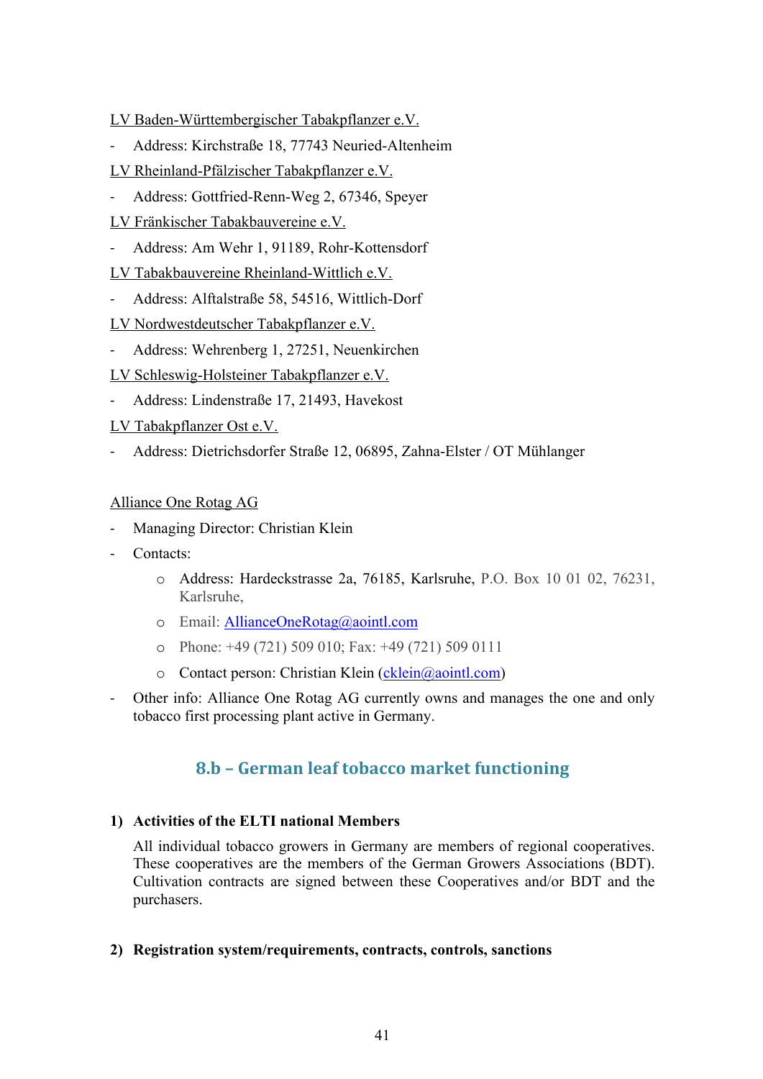LV Baden-Württembergischer Tabakpflanzer e.V.

- Address: Kirchstraße 18, 77743 Neuried-Altenheim
- LV Rheinland-Pfälzischer Tabakpflanzer e.V.
- Address: Gottfried-Renn-Weg 2, 67346, Speyer
- LV Fränkischer Tabakbauvereine e.V.
- Address: Am Wehr 1, 91189, Rohr-Kottensdorf
- LV Tabakbauvereine Rheinland-Wittlich e.V.
- Address: Alftalstraße 58, 54516, Wittlich-Dorf
- LV Nordwestdeutscher Tabakpflanzer e.V.
- Address: Wehrenberg 1, 27251, Neuenkirchen
- LV Schleswig-Holsteiner Tabakpflanzer e.V.
- Address: Lindenstraße 17, 21493, Havekost
- LV Tabakpflanzer Ost e.V.
- Address: Dietrichsdorfer Straße 12, 06895, Zahna-Elster / OT Mühlanger

#### Alliance One Rotag AG

- Managing Director: Christian Klein
- Contacts:
	- o Address: Hardeckstrasse 2a, 76185, Karlsruhe, P.O. Box 10 01 02, 76231, Karlsruhe,
	- o Email: **AllianceOneRotag@aointl.com**
	- o Phone: +49 (721) 509 010; Fax: +49 (721) 509 0111
	- o Contact person: Christian Klein (cklein@aointl.com)
- Other info: Alliance One Rotag AG currently owns and manages the one and only tobacco first processing plant active in Germany.

## **8.b – German leaf tobacco market functioning**

#### **1) Activities of the ELTI national Members**

All individual tobacco growers in Germany are members of regional cooperatives. These cooperatives are the members of the German Growers Associations (BDT). Cultivation contracts are signed between these Cooperatives and/or BDT and the purchasers.

**2) Registration system/requirements, contracts, controls, sanctions**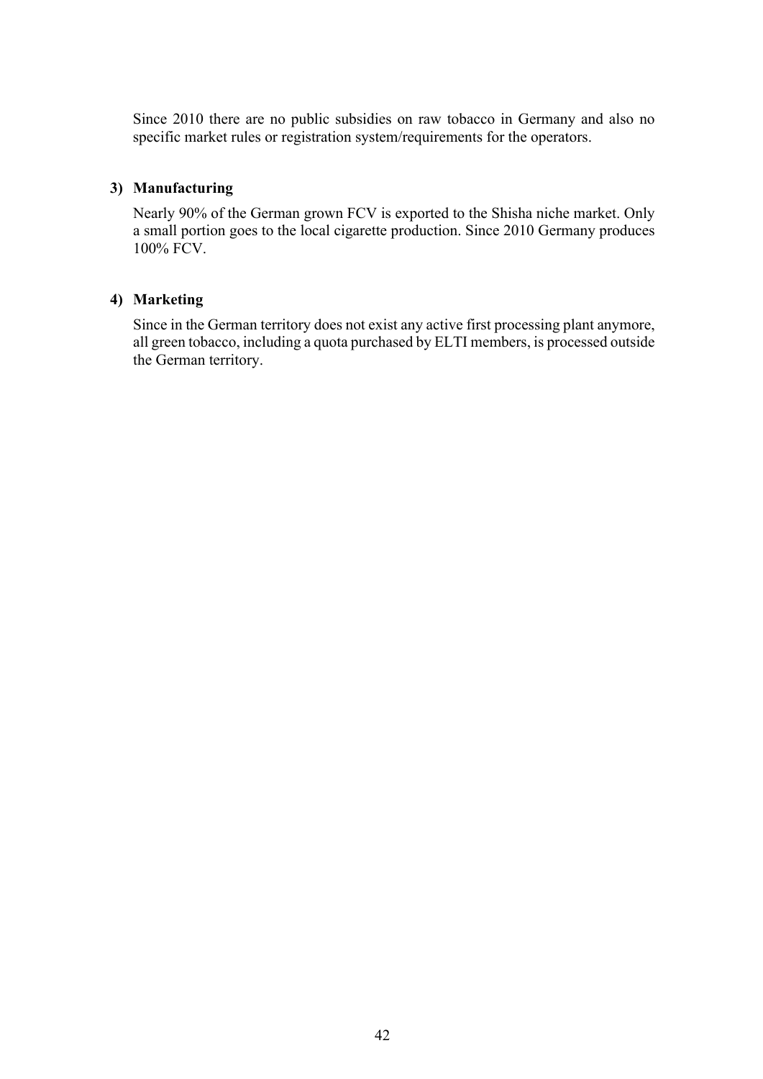Since 2010 there are no public subsidies on raw tobacco in Germany and also no specific market rules or registration system/requirements for the operators.

## **3) Manufacturing**

Nearly 90% of the German grown FCV is exported to the Shisha niche market. Only a small portion goes to the local cigarette production. Since 2010 Germany produces 100% FCV.

## **4) Marketing**

Since in the German territory does not exist any active first processing plant anymore, all green tobacco, including a quota purchased by ELTI members, is processed outside the German territory.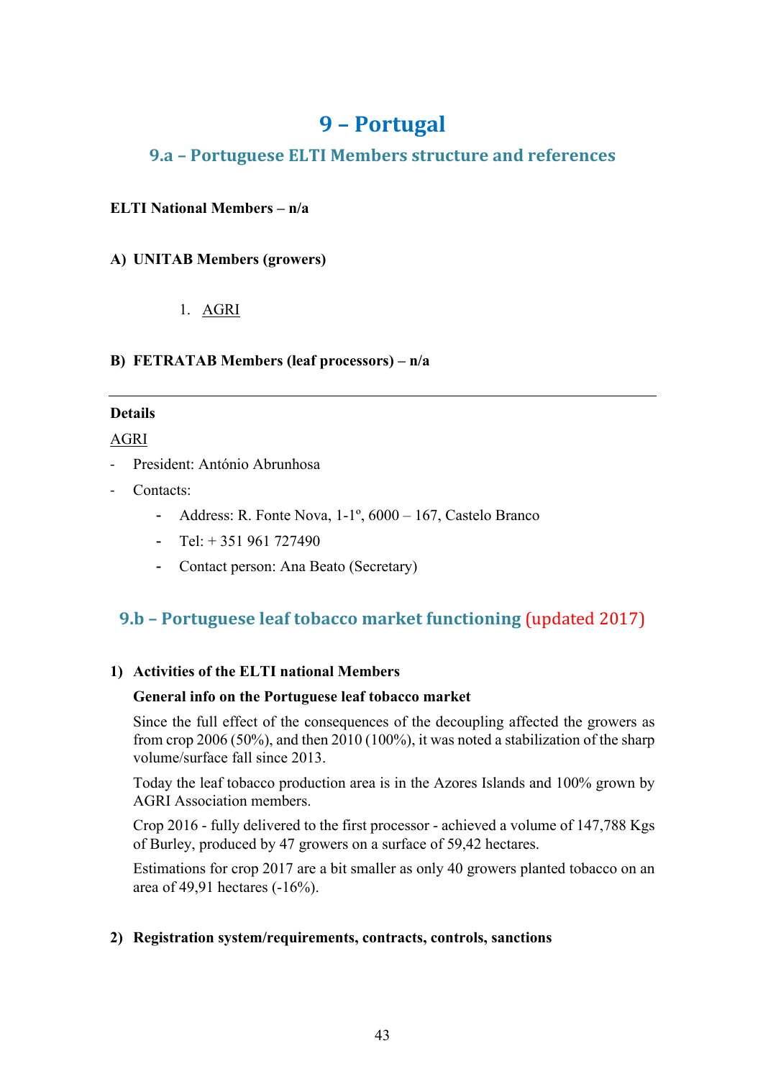## **9 – Portugal**

## **9.a – Portuguese ELTI Members structure and references**

## **ELTI National Members – n/a**

## **A) UNITAB Members (growers)**

## 1. AGRI

## **B) FETRATAB Members (leaf processors) – n/a**

## **Details**

## AGRI

- President: António Abrunhosa
- Contacts:
	- Address: R. Fonte Nova, 1-1º, 6000 167, Castelo Branco
	- Tel:  $+351961727490$
	- Contact person: Ana Beato (Secretary)

## **9.b – Portuguese leaf tobacco market functioning** (updated 2017)

## **1) Activities of the ELTI national Members**

#### **General info on the Portuguese leaf tobacco market**

Since the full effect of the consequences of the decoupling affected the growers as from crop 2006 (50%), and then 2010 (100%), it was noted a stabilization of the sharp volume/surface fall since 2013.

Today the leaf tobacco production area is in the Azores Islands and 100% grown by AGRI Association members.

Crop 2016 - fully delivered to the first processor - achieved a volume of 147,788 Kgs of Burley, produced by 47 growers on a surface of 59,42 hectares.

Estimations for crop 2017 are a bit smaller as only 40 growers planted tobacco on an area of 49,91 hectares (-16%).

## **2) Registration system/requirements, contracts, controls, sanctions**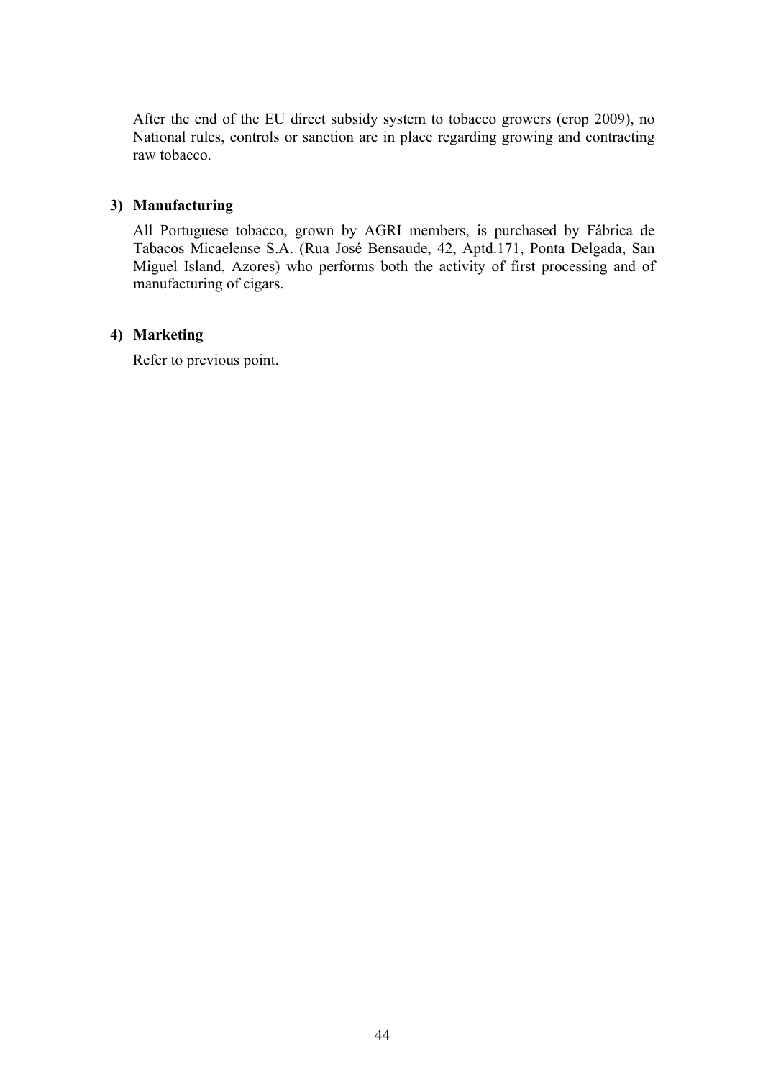After the end of the EU direct subsidy system to tobacco growers (crop 2009), no National rules, controls or sanction are in place regarding growing and contracting raw tobacco.

### **3) Manufacturing**

All Portuguese tobacco, grown by AGRI members, is purchased by Fábrica de Tabacos Micaelense S.A. (Rua José Bensaude, 42, Aptd.171, Ponta Delgada, San Miguel Island, Azores) who performs both the activity of first processing and of manufacturing of cigars.

## **4) Marketing**

Refer to previous point.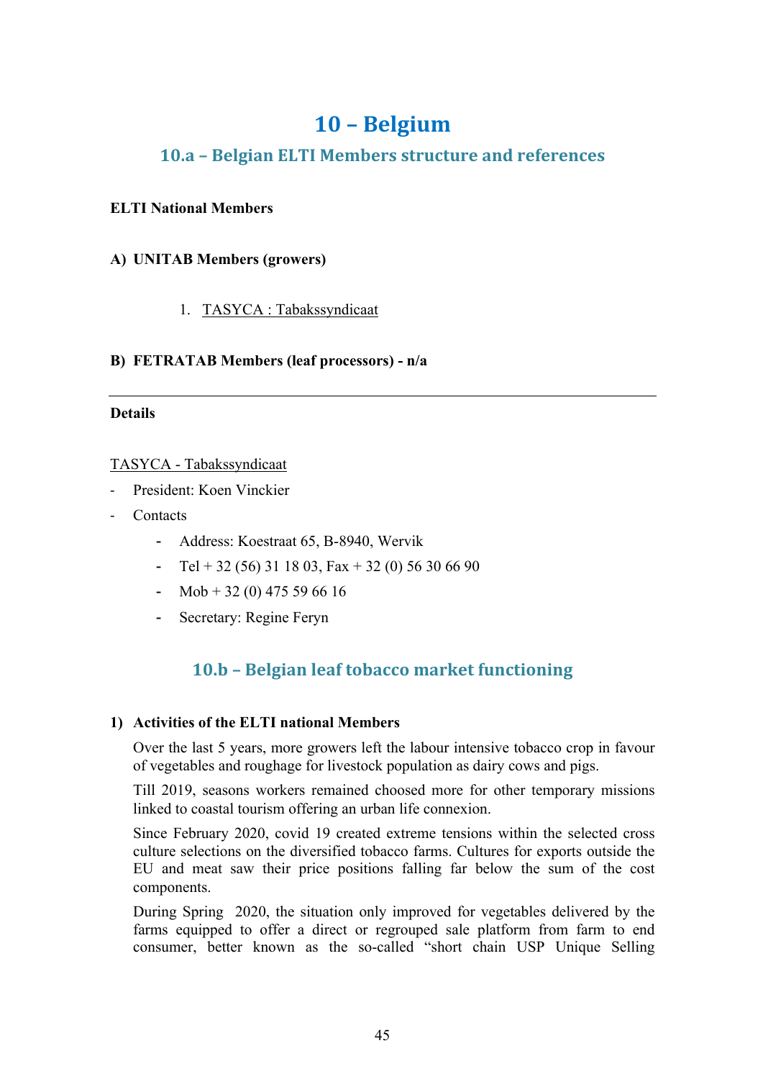## **10 – Belgium**

## **10.a – Belgian ELTI Members structure and references**

## **ELTI National Members**

## **A) UNITAB Members (growers)**

## 1. TASYCA : Tabakssyndicaat

## **B) FETRATAB Members (leaf processors) - n/a**

## **Details**

## TASYCA - Tabakssyndicaat

- President: Koen Vinckier
- Contacts
	- Address: Koestraat 65, B-8940, Wervik
	- Tel + 32 (56) 31 18 03, Fax + 32 (0) 56 30 66 90
	- Mob + 32 (0) 475 59 66 16
	- Secretary: Regine Feryn

## **10.b – Belgian leaf tobacco market functioning**

## **1) Activities of the ELTI national Members**

Over the last 5 years, more growers left the labour intensive tobacco crop in favour of vegetables and roughage for livestock population as dairy cows and pigs.

Till 2019, seasons workers remained choosed more for other temporary missions linked to coastal tourism offering an urban life connexion.

Since February 2020, covid 19 created extreme tensions within the selected cross culture selections on the diversified tobacco farms. Cultures for exports outside the EU and meat saw their price positions falling far below the sum of the cost components.

During Spring 2020, the situation only improved for vegetables delivered by the farms equipped to offer a direct or regrouped sale platform from farm to end consumer, better known as the so-called "short chain USP Unique Selling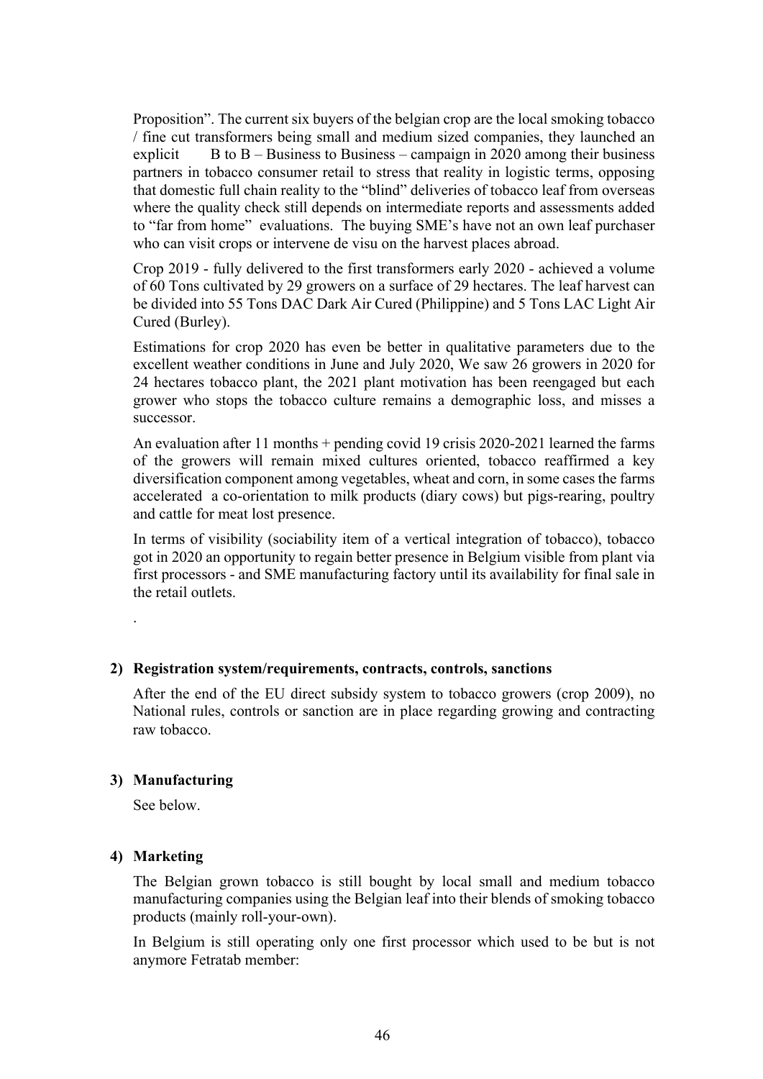Proposition". The current six buyers of the belgian crop are the local smoking tobacco / fine cut transformers being small and medium sized companies, they launched an explicit B to  $B$  – Business to Business – campaign in 2020 among their business partners in tobacco consumer retail to stress that reality in logistic terms, opposing that domestic full chain reality to the "blind" deliveries of tobacco leaf from overseas where the quality check still depends on intermediate reports and assessments added to "far from home" evaluations. The buying SME's have not an own leaf purchaser who can visit crops or intervene de visu on the harvest places abroad.

Crop 2019 - fully delivered to the first transformers early 2020 - achieved a volume of 60 Tons cultivated by 29 growers on a surface of 29 hectares. The leaf harvest can be divided into 55 Tons DAC Dark Air Cured (Philippine) and 5 Tons LAC Light Air Cured (Burley).

Estimations for crop 2020 has even be better in qualitative parameters due to the excellent weather conditions in June and July 2020, We saw 26 growers in 2020 for 24 hectares tobacco plant, the 2021 plant motivation has been reengaged but each grower who stops the tobacco culture remains a demographic loss, and misses a successor.

An evaluation after 11 months + pending covid 19 crisis 2020-2021 learned the farms of the growers will remain mixed cultures oriented, tobacco reaffirmed a key diversification component among vegetables, wheat and corn, in some cases the farms accelerated a co-orientation to milk products (diary cows) but pigs-rearing, poultry and cattle for meat lost presence.

In terms of visibility (sociability item of a vertical integration of tobacco), tobacco got in 2020 an opportunity to regain better presence in Belgium visible from plant via first processors - and SME manufacturing factory until its availability for final sale in the retail outlets.

**2) Registration system/requirements, contracts, controls, sanctions**

After the end of the EU direct subsidy system to tobacco growers (crop 2009), no National rules, controls or sanction are in place regarding growing and contracting raw tobacco.

#### **3) Manufacturing**

See below.

.

#### **4) Marketing**

The Belgian grown tobacco is still bought by local small and medium tobacco manufacturing companies using the Belgian leaf into their blends of smoking tobacco products (mainly roll-your-own).

In Belgium is still operating only one first processor which used to be but is not anymore Fetratab member: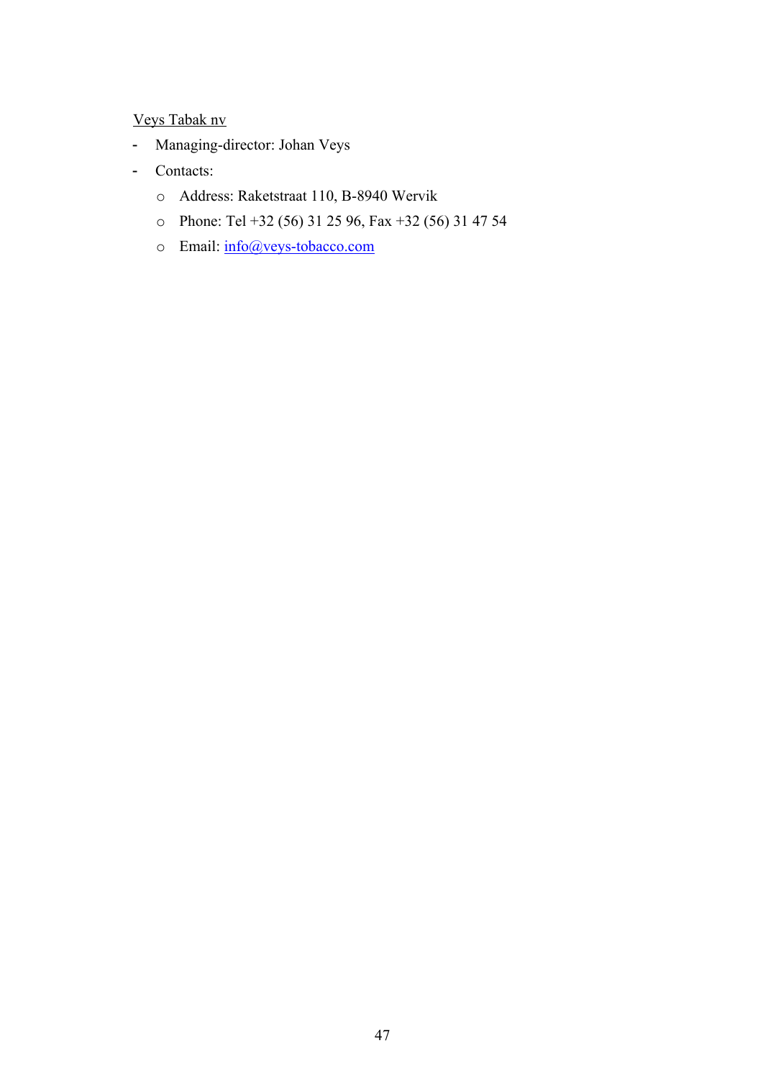## Veys Tabak nv

- Managing-director: Johan Veys
- Contacts:
	- o Address: Raketstraat 110, B-8940 Wervik
	- o Phone: Tel +32 (56) 31 25 96, Fax +32 (56) 31 47 54
	- o Email: info@veys-tobacco.com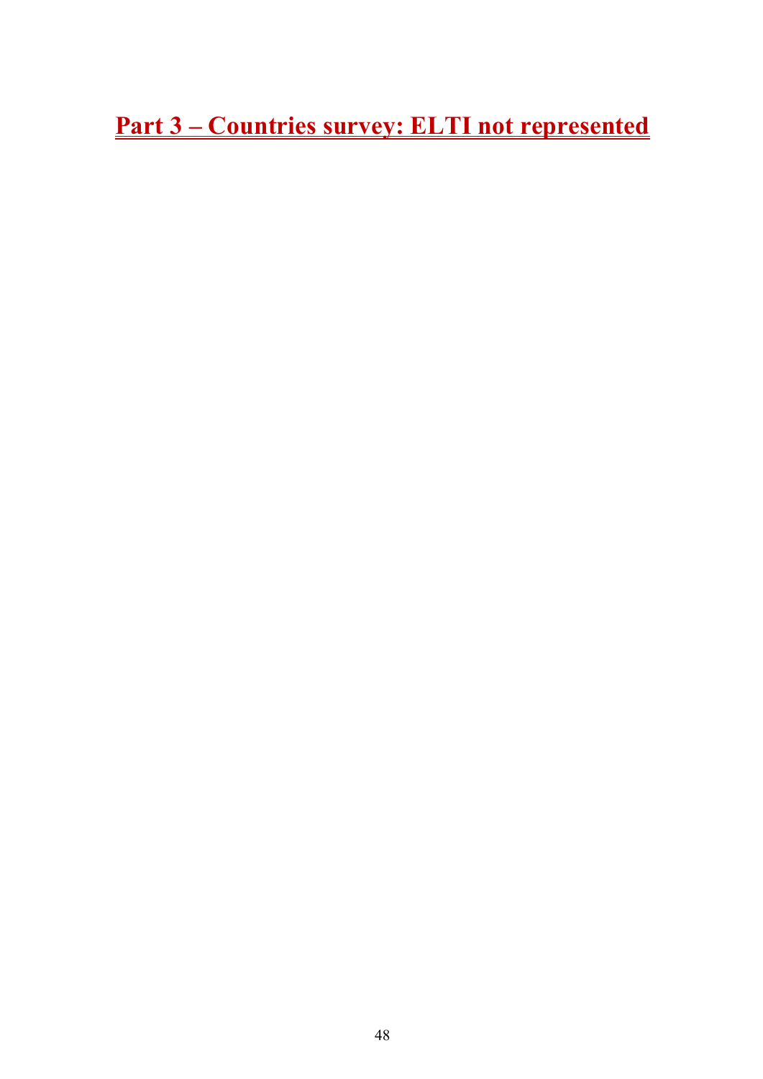**Part 3 – Countries survey: ELTI not represented**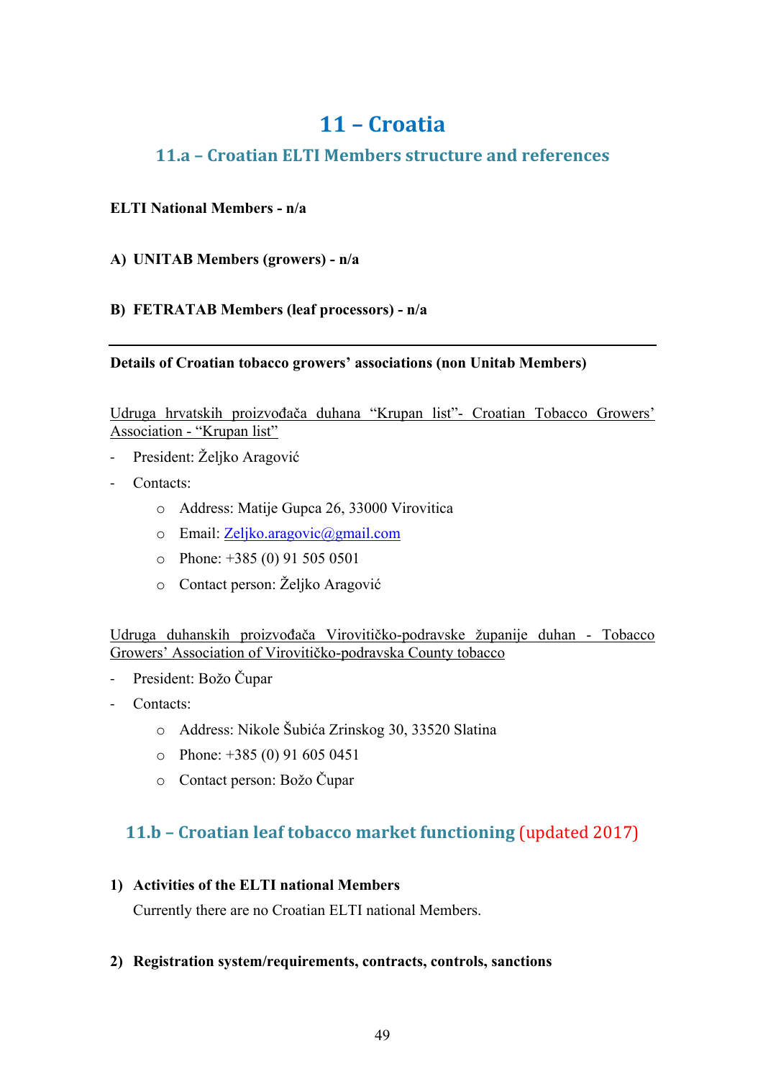## **11 – Croatia**

## **11.a – Croatian ELTI Members structure and references**

## **ELTI National Members - n/a**

## **A) UNITAB Members (growers) - n/a**

## **B) FETRATAB Members (leaf processors) - n/a**

## **Details of Croatian tobacco growers' associations (non Unitab Members)**

Udruga hrvatskih proizvođača duhana "Krupan list"- Croatian Tobacco Growers' Association - "Krupan list"

- President: Željko Aragović
- Contacts:
	- o Address: Matije Gupca 26, 33000 Virovitica
	- o Email: Zeljko.aragovic@gmail.com
	- $\circ$  Phone: +385 (0) 91 505 0501
	- o Contact person: Željko Aragović

Udruga duhanskih proizvođača Virovitičko-podravske županije duhan - Tobacco Growers' Association of Virovitičko-podravska County tobacco

- President: Božo Čupar
- Contacts:
	- o Address: Nikole Šubića Zrinskog 30, 33520 Slatina
	- $\degree$  Phone: +385 (0) 91 605 0451
	- o Contact person: Božo Čupar

## **11.b – Croatian leaf tobacco market functioning** (updated 2017)

## **1) Activities of the ELTI national Members**

Currently there are no Croatian ELTI national Members.

## **2) Registration system/requirements, contracts, controls, sanctions**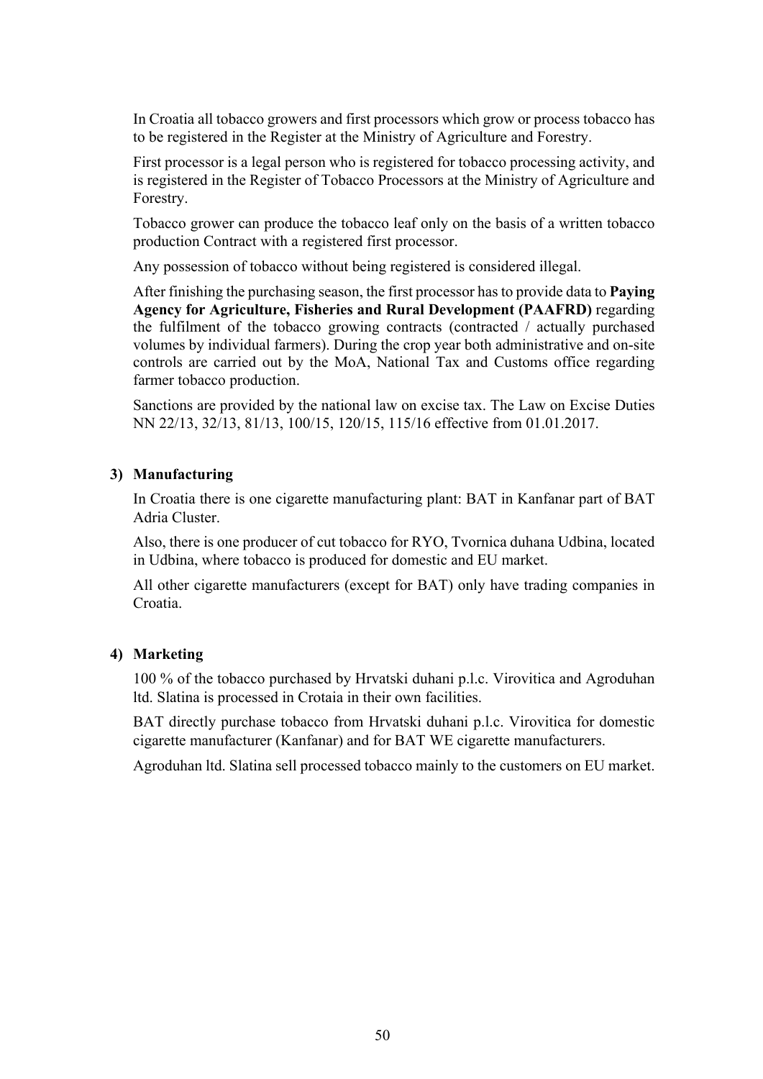In Croatia all tobacco growers and first processors which grow or process tobacco has to be registered in the Register at the Ministry of Agriculture and Forestry.

First processor is a legal person who is registered for tobacco processing activity, and is registered in the Register of Tobacco Processors at the Ministry of Agriculture and Forestry.

Tobacco grower can produce the tobacco leaf only on the basis of a written tobacco production Contract with a registered first processor.

Any possession of tobacco without being registered is considered illegal.

After finishing the purchasing season, the first processor has to provide data to **Paying Agency for Agriculture, Fisheries and Rural Development (PAAFRD)** regarding the fulfilment of the tobacco growing contracts (contracted / actually purchased volumes by individual farmers). During the crop year both administrative and on-site controls are carried out by the MoA, National Tax and Customs office regarding farmer tobacco production.

Sanctions are provided by the national law on excise tax. The Law on Excise Duties NN 22/13, 32/13, 81/13, 100/15, 120/15, 115/16 effective from 01.01.2017.

#### **3) Manufacturing**

In Croatia there is one cigarette manufacturing plant: BAT in Kanfanar part of BAT Adria Cluster.

Also, there is one producer of cut tobacco for RYO, Tvornica duhana Udbina, located in Udbina, where tobacco is produced for domestic and EU market.

All other cigarette manufacturers (except for BAT) only have trading companies in Croatia.

#### **4) Marketing**

100 % of the tobacco purchased by Hrvatski duhani p.l.c. Virovitica and Agroduhan ltd. Slatina is processed in Crotaia in their own facilities.

BAT directly purchase tobacco from Hrvatski duhani p.l.c. Virovitica for domestic cigarette manufacturer (Kanfanar) and for BAT WE cigarette manufacturers.

Agroduhan ltd. Slatina sell processed tobacco mainly to the customers on EU market.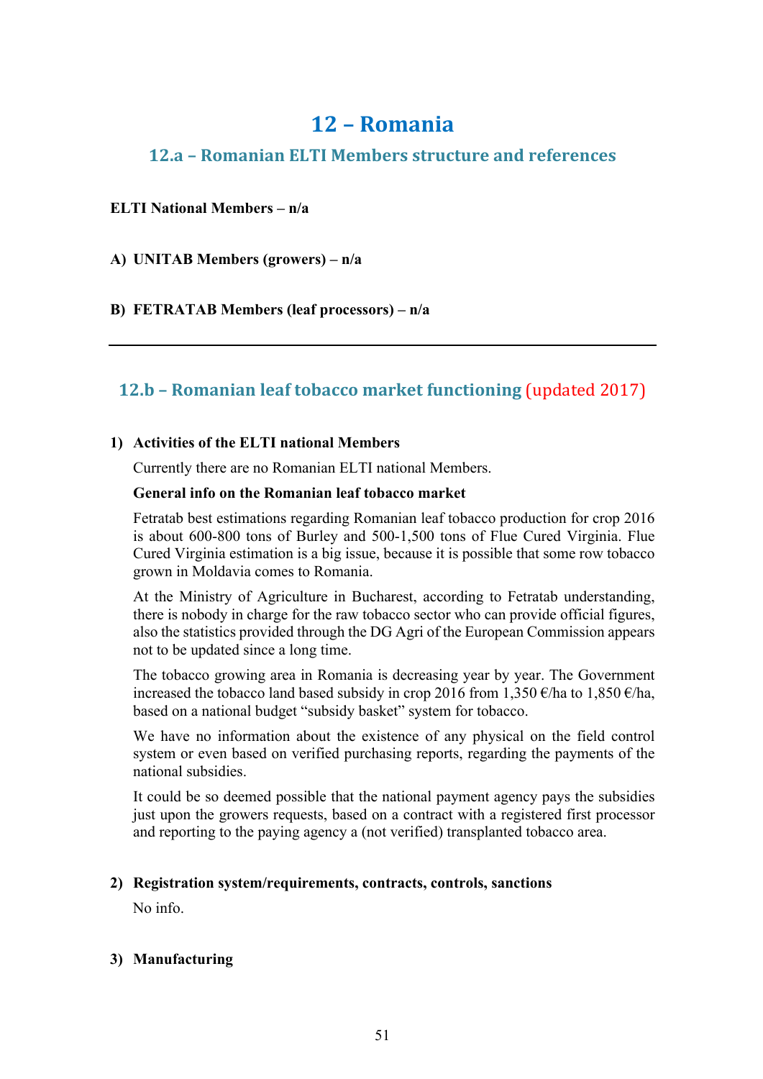## **12 – Romania**

## **12.a – Romanian ELTI Members structure and references**

## **ELTI National Members – n/a**

**A) UNITAB Members (growers) – n/a**

**B) FETRATAB Members (leaf processors) – n/a**

## **12.b – Romanian leaf tobacco market functioning** (updated 2017)

## **1) Activities of the ELTI national Members**

Currently there are no Romanian ELTI national Members.

## **General info on the Romanian leaf tobacco market**

Fetratab best estimations regarding Romanian leaf tobacco production for crop 2016 is about 600-800 tons of Burley and 500-1,500 tons of Flue Cured Virginia. Flue Cured Virginia estimation is a big issue, because it is possible that some row tobacco grown in Moldavia comes to Romania.

At the Ministry of Agriculture in Bucharest, according to Fetratab understanding, there is nobody in charge for the raw tobacco sector who can provide official figures, also the statistics provided through the DG Agri of the European Commission appears not to be updated since a long time.

The tobacco growing area in Romania is decreasing year by year. The Government increased the tobacco land based subsidy in crop 2016 from 1,350  $\epsilon$ /ha to 1,850  $\epsilon$ /ha, based on a national budget "subsidy basket" system for tobacco.

We have no information about the existence of any physical on the field control system or even based on verified purchasing reports, regarding the payments of the national subsidies.

It could be so deemed possible that the national payment agency pays the subsidies just upon the growers requests, based on a contract with a registered first processor and reporting to the paying agency a (not verified) transplanted tobacco area.

#### **2) Registration system/requirements, contracts, controls, sanctions**

No info.

## **3) Manufacturing**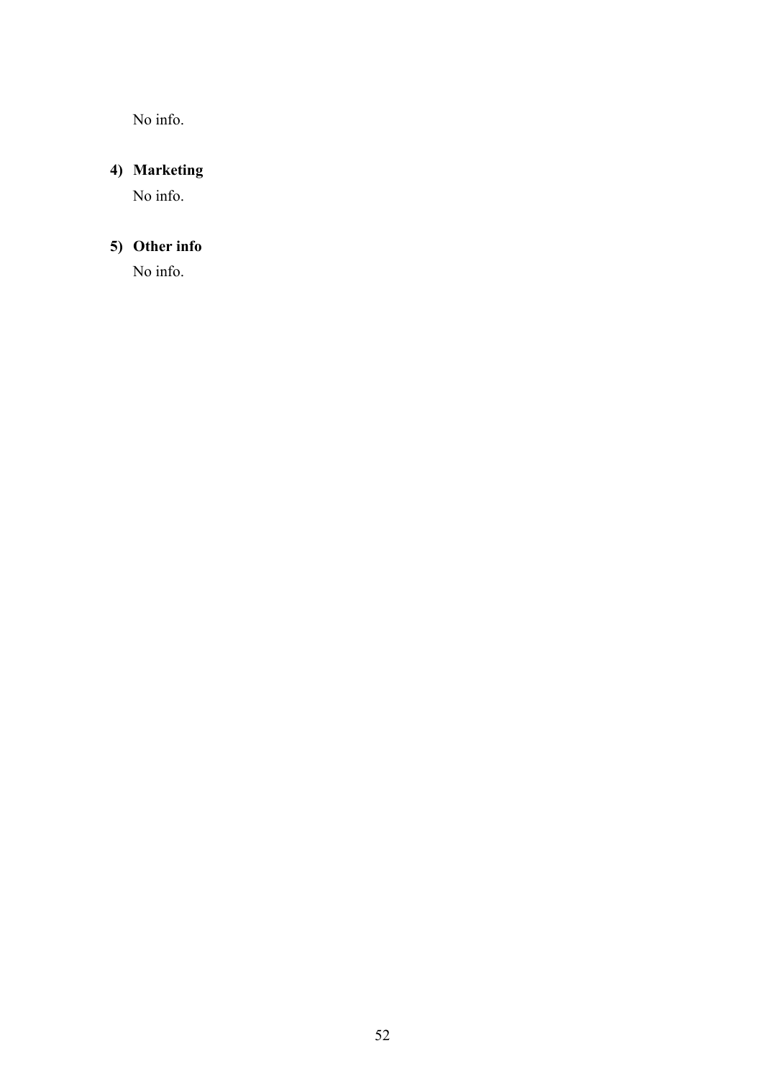No info.

## **4) Marketing**

No info.

## **5) Other info**

No info.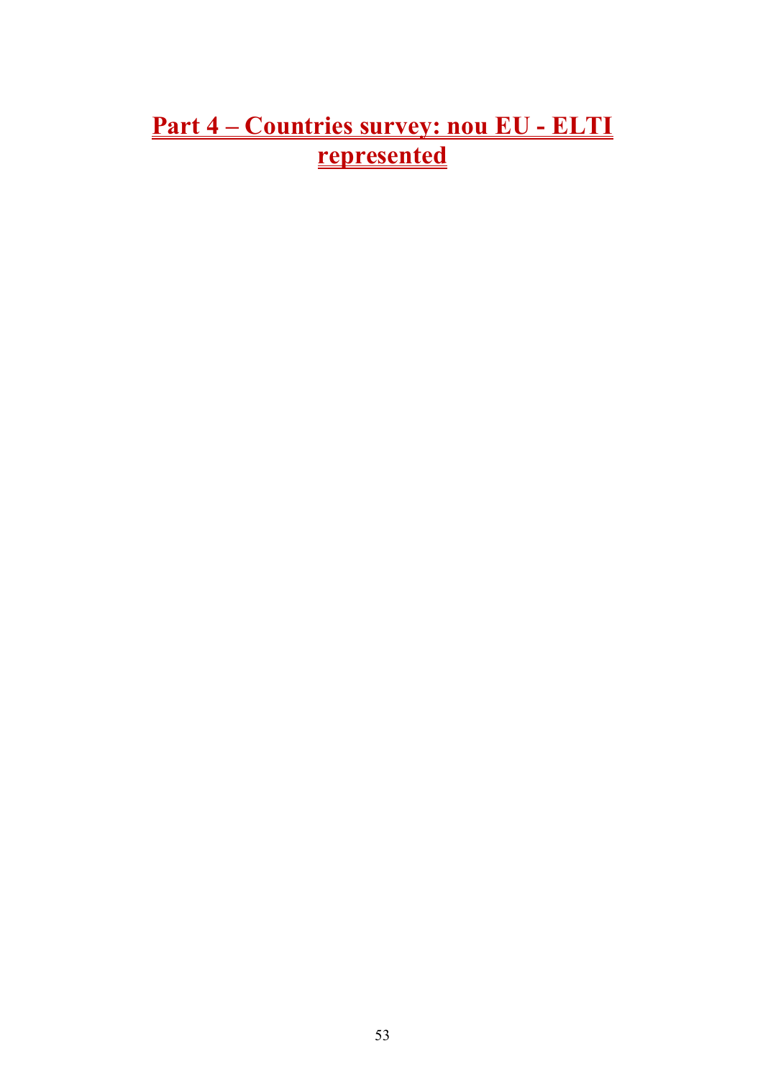# **Part 4 – Countries survey: nou EU - ELTI represented**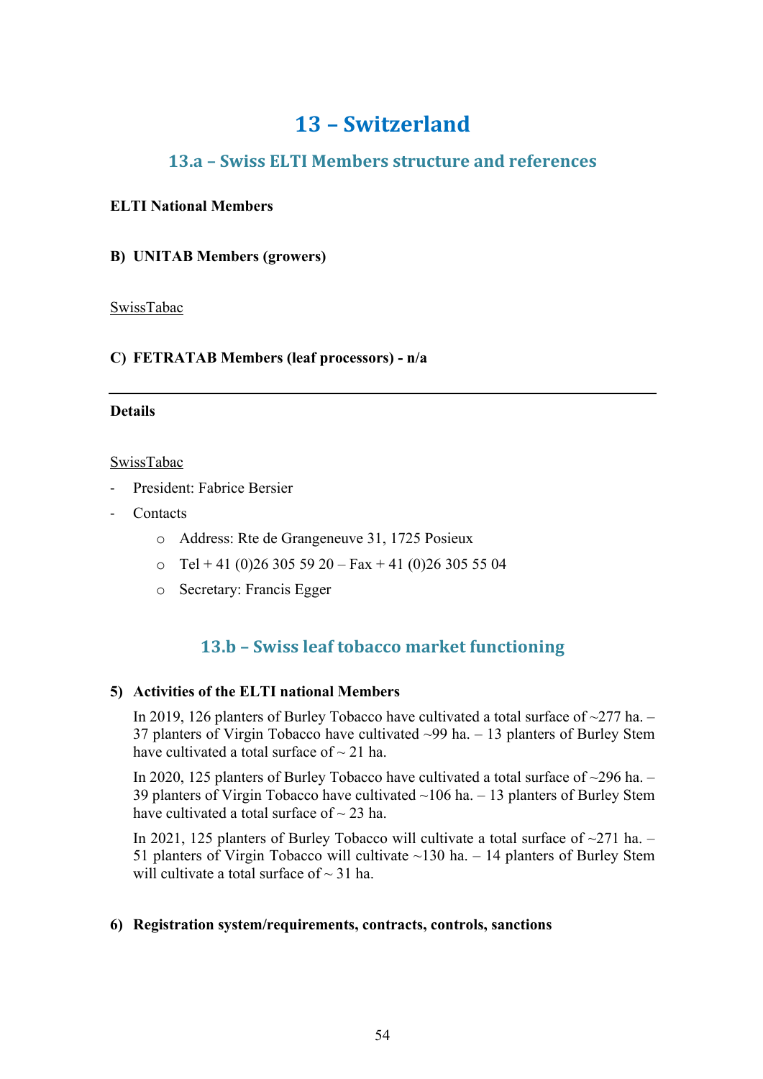## **13 – Switzerland**

## **13.a – Swiss ELTI Members structure and references**

## **ELTI National Members**

## **B) UNITAB Members (growers)**

SwissTabac

## **C) FETRATAB Members (leaf processors) - n/a**

#### **Details**

#### SwissTabac

- President: Fabrice Bersier
- **Contacts** 
	- o Address: Rte de Grangeneuve 31, 1725 Posieux
	- $\text{o}$  Tel + 41 (0)26 305 59 20 Fax + 41 (0)26 305 55 04
	- o Secretary: Francis Egger

## **13.b – Swiss leaf tobacco market functioning**

#### **5) Activities of the ELTI national Members**

In 2019, 126 planters of Burley Tobacco have cultivated a total surface of ~277 ha. – 37 planters of Virgin Tobacco have cultivated ~99 ha. – 13 planters of Burley Stem have cultivated a total surface of  $\sim$  21 ha.

In 2020, 125 planters of Burley Tobacco have cultivated a total surface of ~296 ha. – 39 planters of Virgin Tobacco have cultivated ~106 ha. – 13 planters of Burley Stem have cultivated a total surface of  $\sim$  23 ha.

In 2021, 125 planters of Burley Tobacco will cultivate a total surface of  $\sim$ 271 ha. – 51 planters of Virgin Tobacco will cultivate  $~130$  ha.  $-14$  planters of Burley Stem will cultivate a total surface of  $\sim$  31 ha.

#### **6) Registration system/requirements, contracts, controls, sanctions**